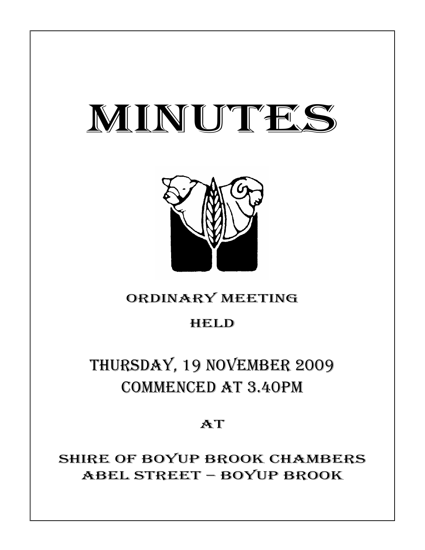# MINUTES



# ORDINARY MEETING

# HELD

# THURSDAY, 19 NOVEMBER 2009 COMMENCED AT 3.40PM

## **AT**

SHIRE OF BOYUP BROOK CHAMBERS ABEL STREET – BOYUP BROOK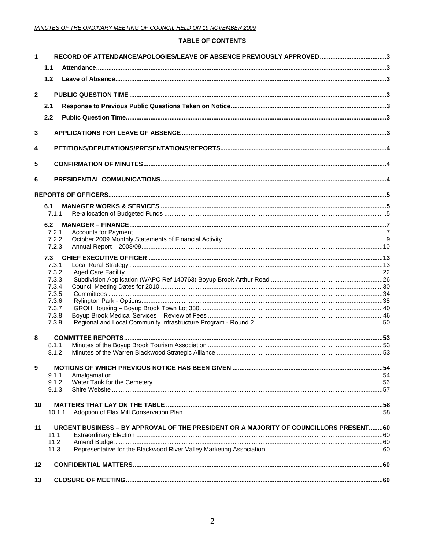#### **TABLE OF CONTENTS**

| 1              |                | RECORD OF ATTENDANCE/APOLOGIES/LEAVE OF ABSENCE PREVIOUSLY APPROVED3                  |  |
|----------------|----------------|---------------------------------------------------------------------------------------|--|
|                | 1.1            |                                                                                       |  |
|                | 1.2            |                                                                                       |  |
|                |                |                                                                                       |  |
| $\overline{2}$ |                |                                                                                       |  |
|                | 2.1            |                                                                                       |  |
|                | 2.2            |                                                                                       |  |
| 3              |                |                                                                                       |  |
| 4              |                |                                                                                       |  |
|                |                |                                                                                       |  |
| 5              |                |                                                                                       |  |
| 6              |                |                                                                                       |  |
|                |                |                                                                                       |  |
|                |                |                                                                                       |  |
|                | 6.1<br>7.1.1   |                                                                                       |  |
|                | 6.2            |                                                                                       |  |
|                | 7.2.1          |                                                                                       |  |
|                | 7.2.2          |                                                                                       |  |
|                | 7.2.3          |                                                                                       |  |
|                | 7.3            |                                                                                       |  |
|                | 7.3.1          |                                                                                       |  |
|                | 7.3.2          |                                                                                       |  |
|                | 7.3.3          |                                                                                       |  |
|                | 7.3.4          |                                                                                       |  |
|                | 7.3.5<br>7.3.6 |                                                                                       |  |
|                | 7.3.7          |                                                                                       |  |
|                | 7.3.8          |                                                                                       |  |
|                | 7.3.9          |                                                                                       |  |
| 8              |                |                                                                                       |  |
|                | 8.1.1          |                                                                                       |  |
|                | 8.1.2          |                                                                                       |  |
| 9              |                |                                                                                       |  |
|                | 9.1.1          |                                                                                       |  |
|                | 9.1.2          |                                                                                       |  |
|                | 9.1.3          |                                                                                       |  |
| 10             |                |                                                                                       |  |
|                | 10.1.1         |                                                                                       |  |
| 11             |                | URGENT BUSINESS - BY APPROVAL OF THE PRESIDENT OR A MAJORITY OF COUNCILLORS PRESENT60 |  |
|                | 11.1           |                                                                                       |  |
|                | 11.2           |                                                                                       |  |
|                | 11.3           |                                                                                       |  |
| 12             |                |                                                                                       |  |
| 13             |                |                                                                                       |  |
|                |                |                                                                                       |  |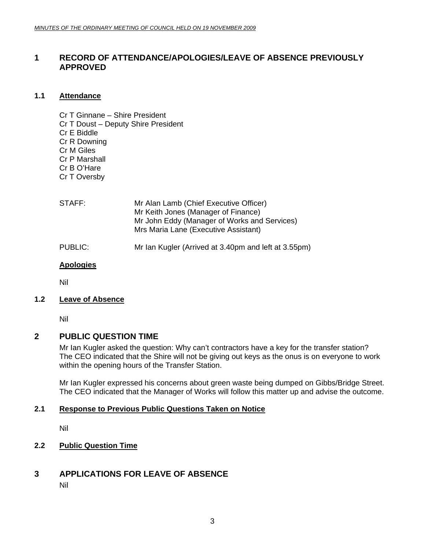### <span id="page-2-0"></span>**1 RECORD OF ATTENDANCE/APOLOGIES/LEAVE OF ABSENCE PREVIOUSLY APPROVED**

#### **1.1 Attendance**

Cr T Ginnane – Shire President Cr T Doust – Deputy Shire President Cr E Biddle Cr R Downing Cr M Giles Cr P Marshall Cr B O'Hare Cr T Oversby

| STAFF:  | Mr Alan Lamb (Chief Executive Officer)<br>Mr Keith Jones (Manager of Finance)<br>Mr John Eddy (Manager of Works and Services)<br>Mrs Maria Lane (Executive Assistant) |
|---------|-----------------------------------------------------------------------------------------------------------------------------------------------------------------------|
| PUBLIC: | Mr Ian Kugler (Arrived at 3.40pm and left at 3.55pm)                                                                                                                  |

#### **Apologies**

Nil

#### **1.2 Leave of Absence**

Nil

#### **2 PUBLIC QUESTION TIME**

Mr Ian Kugler asked the question: Why can't contractors have a key for the transfer station? The CEO indicated that the Shire will not be giving out keys as the onus is on everyone to work within the opening hours of the Transfer Station.

Mr Ian Kugler expressed his concerns about green waste being dumped on Gibbs/Bridge Street. The CEO indicated that the Manager of Works will follow this matter up and advise the outcome.

#### **2.1 Response to Previous Public Questions Taken on Notice**

Nil

#### **2.2 Public Question Time**

### **3 APPLICATIONS FOR LEAVE OF ABSENCE**

Nil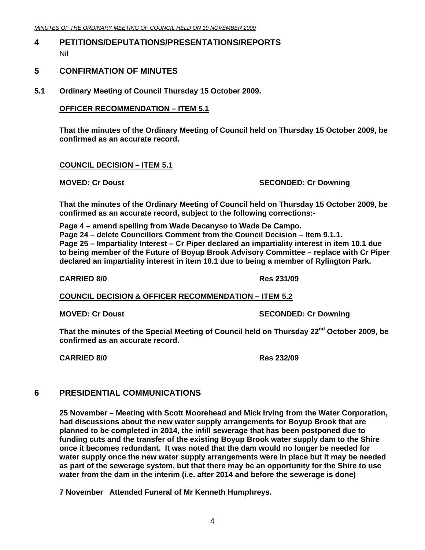### <span id="page-3-0"></span>**4 PETITIONS/DEPUTATIONS/PRESENTATIONS/REPORTS**  Nil

#### **5 CONFIRMATION OF MINUTES**

**5.1 Ordinary Meeting of Council Thursday 15 October 2009.** 

#### **OFFICER RECOMMENDATION – ITEM 5.1**

**That the minutes of the Ordinary Meeting of Council held on Thursday 15 October 2009, be confirmed as an accurate record.** 

#### **COUNCIL DECISION – ITEM 5.1**

#### **MOVED: Cr Doust SECONDED: Cr Downing ATTLE SECONDED: Cr Downing 3**

**That the minutes of the Ordinary Meeting of Council held on Thursday 15 October 2009, be confirmed as an accurate record, subject to the following corrections:-** 

**Page 4 – amend spelling from Wade Decanyso to Wade De Campo. Page 24 – delete Councillors Comment from the Council Decision – Item 9.1.1. Page 25 – Impartiality Interest – Cr Piper declared an impartiality interest in item 10.1 due to being member of the Future of Boyup Brook Advisory Committee – replace with Cr Piper declared an impartiality interest in item 10.1 due to being a member of Rylington Park.** 

#### **CARRIED 8/0 Res 231/09**

**COUNCIL DECISION & OFFICER RECOMMENDATION – ITEM 5.2**

**MOVED: Cr Doust SECONDED: Cr Downing ATTLE SECONDED: Cr Downing 3** 

That the minutes of the Special Meeting of Council held on Thursday 22<sup>nd</sup> October 2009, be **confirmed as an accurate record.** 

**CARRIED 8/0 Res 232/09** 

### **6 PRESIDENTIAL COMMUNICATIONS**

**25 November – Meeting with Scott Moorehead and Mick Irving from the Water Corporation, had discussions about the new water supply arrangements for Boyup Brook that are planned to be completed in 2014, the infill sewerage that has been postponed due to funding cuts and the transfer of the existing Boyup Brook water supply dam to the Shire once it becomes redundant. It was noted that the dam would no longer be needed for water supply once the new water supply arrangements were in place but it may be needed as part of the sewerage system, but that there may be an opportunity for the Shire to use water from the dam in the interim (i.e. after 2014 and before the sewerage is done)** 

**7 November Attended Funeral of Mr Kenneth Humphreys.**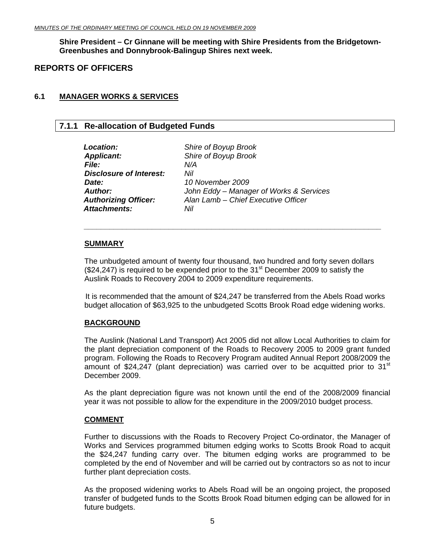<span id="page-4-0"></span>**Shire President – Cr Ginnane will be meeting with Shire Presidents from the Bridgetown-Greenbushes and Donnybrook-Balingup Shires next week.** 

#### **REPORTS OF OFFICERS**

#### **6.1 MANAGER WORKS & SERVICES**

#### **7.1.1 Re-allocation of Budgeted Funds**

| Location:                      | Shire of Boyup Brook                    |
|--------------------------------|-----------------------------------------|
| <b>Applicant:</b>              | Shire of Boyup Brook                    |
| <b>File:</b>                   | N/A                                     |
| <b>Disclosure of Interest:</b> | Nil                                     |
| Date:                          | 10 November 2009                        |
| <b>Author:</b>                 | John Eddy - Manager of Works & Services |
| <b>Authorizing Officer:</b>    | Alan Lamb - Chief Executive Officer     |
| <b>Attachments:</b>            | Nil                                     |
|                                |                                         |

#### **SUMMARY**

The unbudgeted amount of twenty four thousand, two hundred and forty seven dollars  $(\$24,247)$  is required to be expended prior to the 31<sup>st</sup> December 2009 to satisfy the Auslink Roads to Recovery 2004 to 2009 expenditure requirements.

*\_\_\_\_\_\_\_\_\_\_\_\_\_\_\_\_\_\_\_\_\_\_\_\_\_\_\_\_\_\_\_\_\_\_\_\_\_\_\_\_\_\_\_\_\_\_\_\_\_\_\_\_\_\_\_\_\_\_\_\_\_\_\_\_\_\_\_\_\_\_* 

It is recommended that the amount of \$24,247 be transferred from the Abels Road works budget allocation of \$63,925 to the unbudgeted Scotts Brook Road edge widening works.

#### **BACKGROUND**

The Auslink (National Land Transport) Act 2005 did not allow Local Authorities to claim for the plant depreciation component of the Roads to Recovery 2005 to 2009 grant funded program. Following the Roads to Recovery Program audited Annual Report 2008/2009 the amount of \$24,247 (plant depreciation) was carried over to be acquitted prior to  $31<sup>st</sup>$ December 2009.

As the plant depreciation figure was not known until the end of the 2008/2009 financial year it was not possible to allow for the expenditure in the 2009/2010 budget process.

#### **COMMENT**

Further to discussions with the Roads to Recovery Project Co-ordinator, the Manager of Works and Services programmed bitumen edging works to Scotts Brook Road to acquit the \$24,247 funding carry over. The bitumen edging works are programmed to be completed by the end of November and will be carried out by contractors so as not to incur further plant depreciation costs.

As the proposed widening works to Abels Road will be an ongoing project, the proposed transfer of budgeted funds to the Scotts Brook Road bitumen edging can be allowed for in future budgets.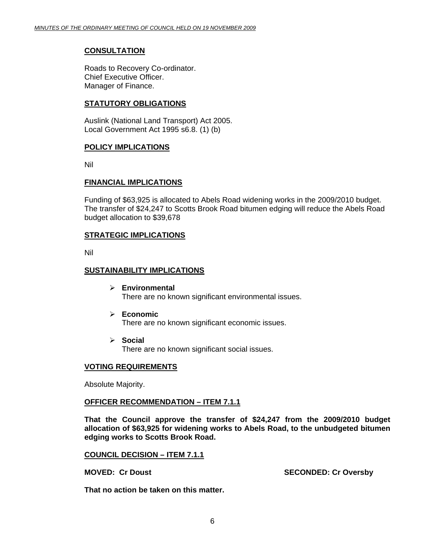#### **CONSULTATION**

Roads to Recovery Co-ordinator. Chief Executive Officer. Manager of Finance.

#### **STATUTORY OBLIGATIONS**

Auslink (National Land Transport) Act 2005. Local Government Act 1995 s6.8. (1) (b)

#### **POLICY IMPLICATIONS**

Nil

#### **FINANCIAL IMPLICATIONS**

Funding of \$63,925 is allocated to Abels Road widening works in the 2009/2010 budget. The transfer of \$24,247 to Scotts Brook Road bitumen edging will reduce the Abels Road budget allocation to \$39,678

#### **STRATEGIC IMPLICATIONS**

Nil

#### **SUSTAINABILITY IMPLICATIONS**

- ¾ **Environmental**  There are no known significant environmental issues.
- ¾ **Economic** There are no known significant economic issues.
- ¾ **Social**

There are no known significant social issues.

#### **VOTING REQUIREMENTS**

Absolute Majority.

#### **OFFICER RECOMMENDATION – ITEM 7.1.1**

**That the Council approve the transfer of \$24,247 from the 2009/2010 budget allocation of \$63,925 for widening works to Abels Road, to the unbudgeted bitumen edging works to Scotts Brook Road.** 

**COUNCIL DECISION – ITEM 7.1.1**

**MOVED: Cr Doust SECONDED: Cr Oversby** 

**That no action be taken on this matter.**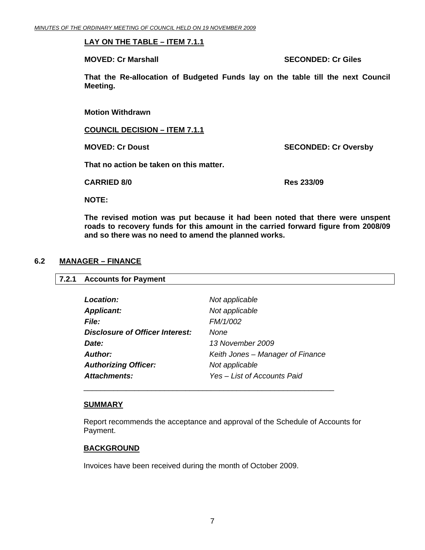#### <span id="page-6-0"></span>**LAY ON THE TABLE – ITEM 7.1.1**

**MOVED: Cr Marshall SECONDED: Cr Giles SECONDED: Cr Giles** 

**That the Re-allocation of Budgeted Funds lay on the table till the next Council Meeting.** 

**Motion Withdrawn** 

**COUNCIL DECISION – ITEM 7.1.1**

**MOVED: Cr Doust SECONDED: Cr Oversby** 

**That no action be taken on this matter.** 

**CARRIED 8/0 Res 233/09** 

**NOTE:** 

**The revised motion was put because it had been noted that there were unspent roads to recovery funds for this amount in the carried forward figure from 2008/09 and so there was no need to amend the planned works.** 

#### **6.2 MANAGER – FINANCE**

#### **7.2.1 Accounts for Payment**

| Location:                              | Not applicable                   |
|----------------------------------------|----------------------------------|
| <b>Applicant:</b>                      | Not applicable                   |
| <i>File:</i>                           | FM/1/002                         |
| <b>Disclosure of Officer Interest:</b> | None                             |
| Date:                                  | 13 November 2009                 |
| Author:                                | Keith Jones – Manager of Finance |
| <b>Authorizing Officer:</b>            | Not applicable                   |
| <b>Attachments:</b>                    | Yes - List of Accounts Paid      |

#### **SUMMARY**

Report recommends the acceptance and approval of the Schedule of Accounts for Payment.

#### **BACKGROUND**

Invoices have been received during the month of October 2009.

\_\_\_\_\_\_\_\_\_\_\_\_\_\_\_\_\_\_\_\_\_\_\_\_\_\_\_\_\_\_\_\_\_\_\_\_\_\_\_\_\_\_\_\_\_\_\_\_\_\_\_\_\_\_\_\_\_\_\_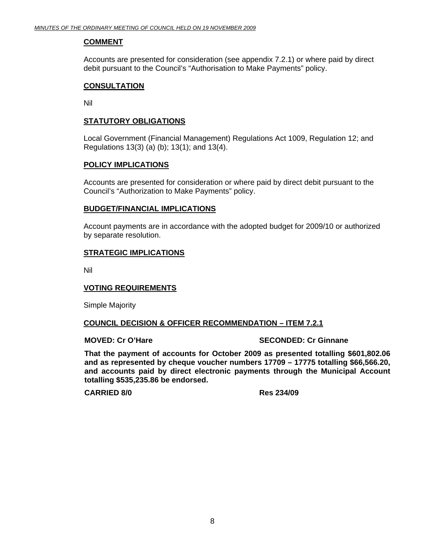#### **COMMENT**

Accounts are presented for consideration (see appendix 7.2.1) or where paid by direct debit pursuant to the Council's "Authorisation to Make Payments" policy.

#### **CONSULTATION**

Nil

#### **STATUTORY OBLIGATIONS**

Local Government (Financial Management) Regulations Act 1009, Regulation 12; and Regulations 13(3) (a) (b); 13(1); and 13(4).

#### **POLICY IMPLICATIONS**

Accounts are presented for consideration or where paid by direct debit pursuant to the Council's "Authorization to Make Payments" policy.

#### **BUDGET/FINANCIAL IMPLICATIONS**

Account payments are in accordance with the adopted budget for 2009/10 or authorized by separate resolution.

#### **STRATEGIC IMPLICATIONS**

Nil

#### **VOTING REQUIREMENTS**

Simple Majority

#### **COUNCIL DECISION & OFFICER RECOMMENDATION – ITEM 7.2.1**

#### **MOVED: Cr O'Hare Case Connect SECONDED: Cr Ginnane**

**That the payment of accounts for October 2009 as presented totalling \$601,802.06 and as represented by cheque voucher numbers 17709 – 17775 totalling \$66,566.20, and accounts paid by direct electronic payments through the Municipal Account totalling \$535,235.86 be endorsed.** 

**CARRIED 8/0 Res 234/09**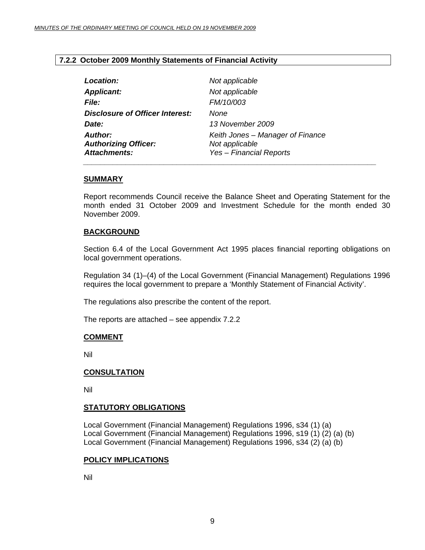#### <span id="page-8-0"></span>**7.2.2 October 2009 Monthly Statements of Financial Activity**

| Not applicable                                                                       |
|--------------------------------------------------------------------------------------|
| Not applicable                                                                       |
| FM/10/003                                                                            |
| None                                                                                 |
| 13 November 2009                                                                     |
| Keith Jones - Manager of Finance<br>Not applicable<br><b>Yes - Financial Reports</b> |
|                                                                                      |

#### **SUMMARY**

Report recommends Council receive the Balance Sheet and Operating Statement for the month ended 31 October 2009 and Investment Schedule for the month ended 30 November 2009.

#### **BACKGROUND**

Section 6.4 of the Local Government Act 1995 places financial reporting obligations on local government operations.

Regulation 34 (1)–(4) of the Local Government (Financial Management) Regulations 1996 requires the local government to prepare a 'Monthly Statement of Financial Activity'.

The regulations also prescribe the content of the report.

The reports are attached – see appendix 7.2.2

#### **COMMENT**

Nil

#### **CONSULTATION**

Nil

#### **STATUTORY OBLIGATIONS**

Local Government (Financial Management) Regulations 1996, s34 (1) (a) Local Government (Financial Management) Regulations 1996, s19 (1) (2) (a) (b) Local Government (Financial Management) Regulations 1996, s34 (2) (a) (b)

#### **POLICY IMPLICATIONS**

Nil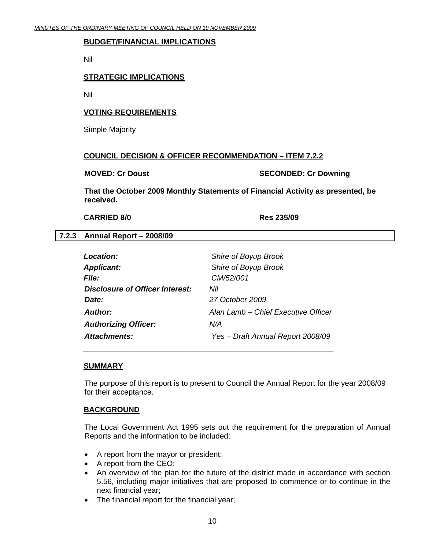#### <span id="page-9-0"></span>**BUDGET/FINANCIAL IMPLICATIONS**

Nil

#### **STRATEGIC IMPLICATIONS**

Nil

#### **VOTING REQUIREMENTS**

Simple Majority

#### **COUNCIL DECISION & OFFICER RECOMMENDATION – ITEM 7.2.2**

#### **MOVED: Cr Doust SECONDED: Cr Downing**

**That the October 2009 Monthly Statements of Financial Activity as presented, be received.** 

#### **CARRIED 8/0 Res 235/09**

#### **7.2.3 Annual Report – 2008/09**

| Location:                       | Shire of Boyup Brook                |
|---------------------------------|-------------------------------------|
| <b>Applicant:</b>               | Shire of Boyup Brook                |
| <b>File:</b>                    | CM/52/001                           |
| Disclosure of Officer Interest: | Nil                                 |
| Date:                           | 27 October 2009                     |
| <b>Author:</b>                  | Alan Lamb – Chief Executive Officer |
| <b>Authorizing Officer:</b>     | N/A                                 |
| <b>Attachments:</b>             | Yes - Draft Annual Report 2008/09   |

 *\_\_\_\_\_\_\_\_\_\_\_\_\_\_\_\_\_\_\_\_\_\_\_\_\_\_\_\_\_\_\_\_\_\_\_\_\_\_\_\_\_\_\_\_\_\_\_\_\_\_\_\_\_\_\_\_\_\_\_* 

#### **SUMMARY**

The purpose of this report is to present to Council the Annual Report for the year 2008/09 for their acceptance.

#### **BACKGROUND**

The Local Government Act 1995 sets out the requirement for the preparation of Annual Reports and the information to be included:

- A report from the mayor or president;
- A report from the CEO;
- An overview of the plan for the future of the district made in accordance with section 5.56, including major initiatives that are proposed to commence or to continue in the next financial year;
- The financial report for the financial year;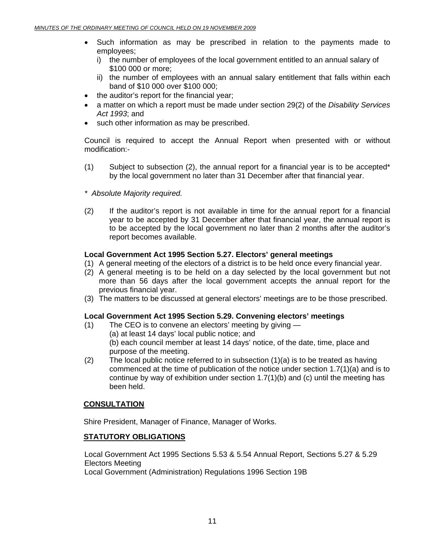- Such information as may be prescribed in relation to the payments made to employees;
	- i) the number of employees of the local government entitled to an annual salary of \$100 000 or more;
	- ii) the number of employees with an annual salary entitlement that falls within each band of \$10 000 over \$100 000;
- the auditor's report for the financial year;
- a matter on which a report must be made under section 29(2) of the *Disability Services Act 1993*; and
- such other information as may be prescribed.

Council is required to accept the Annual Report when presented with or without modification:-

- (1) Subject to subsection (2), the annual report for a financial year is to be accepted\* by the local government no later than 31 December after that financial year.
- *\* Absolute Majority required.*
- (2) If the auditor's report is not available in time for the annual report for a financial year to be accepted by 31 December after that financial year, the annual report is to be accepted by the local government no later than 2 months after the auditor's report becomes available.

#### **Local Government Act 1995 Section 5.27. Electors' general meetings**

- (1) A general meeting of the electors of a district is to be held once every financial year.
- (2) A general meeting is to be held on a day selected by the local government but not more than 56 days after the local government accepts the annual report for the previous financial year.
- (3) The matters to be discussed at general electors' meetings are to be those prescribed.

#### **Local Government Act 1995 Section 5.29. Convening electors' meetings**

- (1) The CEO is to convene an electors' meeting by giving
	- (a) at least 14 days' local public notice; and

 (b) each council member at least 14 days' notice, of the date, time, place and purpose of the meeting.

(2) The local public notice referred to in subsection  $(1)(a)$  is to be treated as having commenced at the time of publication of the notice under section 1.7(1)(a) and is to continue by way of exhibition under section  $1.7(1)(b)$  and (c) until the meeting has been held.

#### **CONSULTATION**

Shire President, Manager of Finance, Manager of Works.

#### **STATUTORY OBLIGATIONS**

Local Government Act 1995 Sections 5.53 & 5.54 Annual Report, Sections 5.27 & 5.29 Electors Meeting

Local Government (Administration) Regulations 1996 Section 19B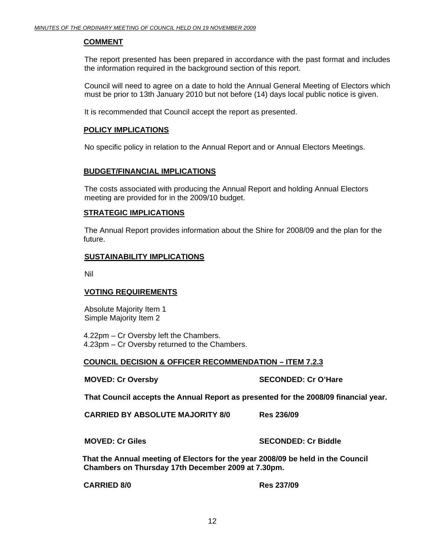#### **COMMENT**

The report presented has been prepared in accordance with the past format and includes the information required in the background section of this report.

Council will need to agree on a date to hold the Annual General Meeting of Electors which must be prior to 13th January 2010 but not before (14) days local public notice is given.

It is recommended that Council accept the report as presented.

#### **POLICY IMPLICATIONS**

No specific policy in relation to the Annual Report and or Annual Electors Meetings.

#### **BUDGET/FINANCIAL IMPLICATIONS**

The costs associated with producing the Annual Report and holding Annual Electors meeting are provided for in the 2009/10 budget.

#### **STRATEGIC IMPLICATIONS**

 The Annual Report provides information about the Shire for 2008/09 and the plan for the future.

#### **SUSTAINABILITY IMPLICATIONS**

Nil

#### **VOTING REQUIREMENTS**

Absolute Majority Item 1 Simple Majority Item 2

4.22pm – Cr Oversby left the Chambers. 4.23pm – Cr Oversby returned to the Chambers.

#### **COUNCIL DECISION & OFFICER RECOMMENDATION – ITEM 7.2.3**

**MOVED: Cr Oversby SECONDED: Cr O'Hare** 

**That Council accepts the Annual Report as presented for the 2008/09 financial year.** 

**CARRIED BY ABSOLUTE MAJORITY 8/0 Res 236/09** 

**MOVED: Cr Giles SECONDED: Cr Biddle** 

**That the Annual meeting of Electors for the year 2008/09 be held in the Council Chambers on Thursday 17th December 2009 at 7.30pm.** 

**CARRIED 8/0 Res 237/09**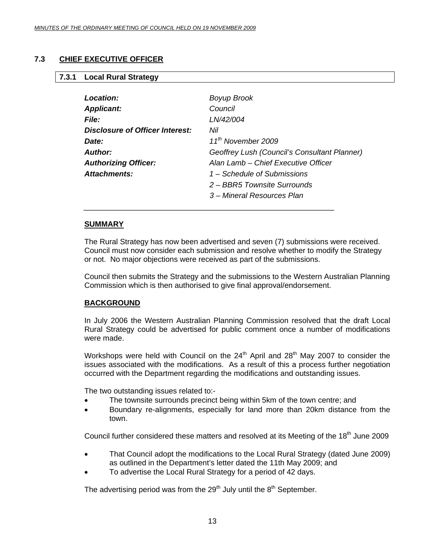#### <span id="page-12-0"></span>**7.3 CHIEF EXECUTIVE OFFICER**

#### **7.3.1 Local Rural Strategy**

| Location:                       | <b>Boyup Brook</b>                           |
|---------------------------------|----------------------------------------------|
| <b>Applicant:</b>               | Council                                      |
| <b>File:</b>                    | LN/42/004                                    |
| Disclosure of Officer Interest: | Nil                                          |
| Date:                           | 11 <sup>th</sup> November 2009               |
| Author:                         | Geoffrey Lush (Council's Consultant Planner) |
| <b>Authorizing Officer:</b>     | Alan Lamb – Chief Executive Officer          |
| <b>Attachments:</b>             | 1 – Schedule of Submissions                  |
|                                 | 2 – BBR5 Townsite Surrounds                  |
|                                 | 3 – Mineral Resources Plan                   |

\_\_\_\_\_\_\_\_\_\_\_\_\_\_\_\_\_\_\_\_\_\_\_\_\_\_\_\_\_\_\_\_\_\_\_\_\_\_\_\_\_\_\_\_\_\_\_\_\_\_\_\_\_\_\_\_\_\_\_

#### **SUMMARY**

The Rural Strategy has now been advertised and seven (7) submissions were received. Council must now consider each submission and resolve whether to modify the Strategy or not. No major objections were received as part of the submissions.

Council then submits the Strategy and the submissions to the Western Australian Planning Commission which is then authorised to give final approval/endorsement.

#### **BACKGROUND**

In July 2006 the Western Australian Planning Commission resolved that the draft Local Rural Strategy could be advertised for public comment once a number of modifications were made.

Workshops were held with Council on the  $24<sup>th</sup>$  April and  $28<sup>th</sup>$  May 2007 to consider the issues associated with the modifications. As a result of this a process further negotiation occurred with the Department regarding the modifications and outstanding issues.

The two outstanding issues related to:-

- The townsite surrounds precinct being within 5km of the town centre; and
- Boundary re-alignments, especially for land more than 20km distance from the town.

Council further considered these matters and resolved at its Meeting of the 18<sup>th</sup> June 2009

- That Council adopt the modifications to the Local Rural Strategy (dated June 2009) as outlined in the Department's letter dated the 11th May 2009; and
- To advertise the Local Rural Strategy for a period of 42 days.

The advertising period was from the  $29<sup>th</sup>$  July until the  $8<sup>th</sup>$  September.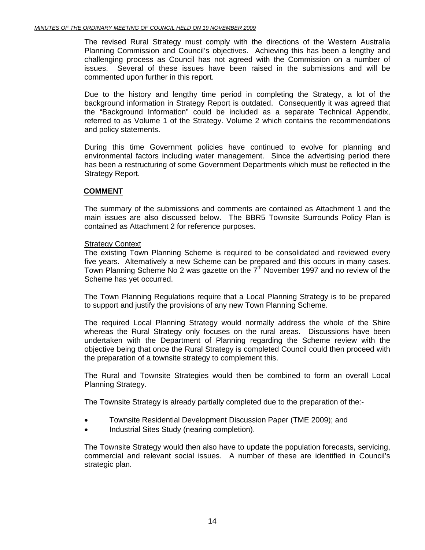The revised Rural Strategy must comply with the directions of the Western Australia Planning Commission and Council's objectives. Achieving this has been a lengthy and challenging process as Council has not agreed with the Commission on a number of issues. Several of these issues have been raised in the submissions and will be commented upon further in this report.

Due to the history and lengthy time period in completing the Strategy, a lot of the background information in Strategy Report is outdated. Consequently it was agreed that the "Background Information" could be included as a separate Technical Appendix, referred to as Volume 1 of the Strategy. Volume 2 which contains the recommendations and policy statements.

During this time Government policies have continued to evolve for planning and environmental factors including water management. Since the advertising period there has been a restructuring of some Government Departments which must be reflected in the Strategy Report.

#### **COMMENT**

The summary of the submissions and comments are contained as Attachment 1 and the main issues are also discussed below. The BBR5 Townsite Surrounds Policy Plan is contained as Attachment 2 for reference purposes.

#### Strategy Context

The existing Town Planning Scheme is required to be consolidated and reviewed every five years. Alternatively a new Scheme can be prepared and this occurs in many cases. Town Planning Scheme No 2 was gazette on the  $7<sup>th</sup>$  November 1997 and no review of the Scheme has yet occurred.

The Town Planning Regulations require that a Local Planning Strategy is to be prepared to support and justify the provisions of any new Town Planning Scheme.

The required Local Planning Strategy would normally address the whole of the Shire whereas the Rural Strategy only focuses on the rural areas. Discussions have been undertaken with the Department of Planning regarding the Scheme review with the objective being that once the Rural Strategy is completed Council could then proceed with the preparation of a townsite strategy to complement this.

The Rural and Townsite Strategies would then be combined to form an overall Local Planning Strategy.

The Townsite Strategy is already partially completed due to the preparation of the:-

- Townsite Residential Development Discussion Paper (TME 2009); and
- Industrial Sites Study (nearing completion).

The Townsite Strategy would then also have to update the population forecasts, servicing, commercial and relevant social issues. A number of these are identified in Council's strategic plan.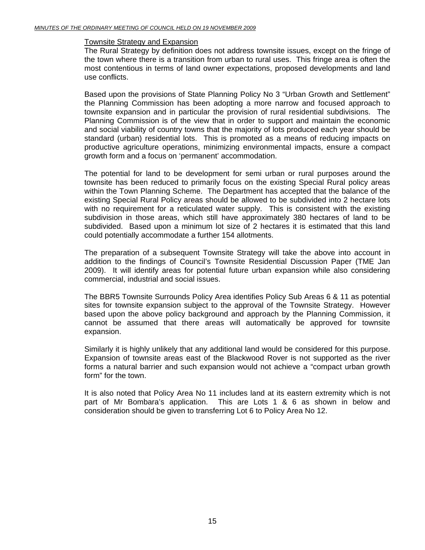#### Townsite Strategy and Expansion

The Rural Strategy by definition does not address townsite issues, except on the fringe of the town where there is a transition from urban to rural uses. This fringe area is often the most contentious in terms of land owner expectations, proposed developments and land use conflicts.

Based upon the provisions of State Planning Policy No 3 "Urban Growth and Settlement" the Planning Commission has been adopting a more narrow and focused approach to townsite expansion and in particular the provision of rural residential subdivisions. The Planning Commission is of the view that in order to support and maintain the economic and social viability of country towns that the majority of lots produced each year should be standard (urban) residential lots. This is promoted as a means of reducing impacts on productive agriculture operations, minimizing environmental impacts, ensure a compact growth form and a focus on 'permanent' accommodation.

The potential for land to be development for semi urban or rural purposes around the townsite has been reduced to primarily focus on the existing Special Rural policy areas within the Town Planning Scheme. The Department has accepted that the balance of the existing Special Rural Policy areas should be allowed to be subdivided into 2 hectare lots with no requirement for a reticulated water supply. This is consistent with the existing subdivision in those areas, which still have approximately 380 hectares of land to be subdivided. Based upon a minimum lot size of 2 hectares it is estimated that this land could potentially accommodate a further 154 allotments.

The preparation of a subsequent Townsite Strategy will take the above into account in addition to the findings of Council's Townsite Residential Discussion Paper (TME Jan 2009). It will identify areas for potential future urban expansion while also considering commercial, industrial and social issues.

The BBR5 Townsite Surrounds Policy Area identifies Policy Sub Areas 6 & 11 as potential sites for townsite expansion subject to the approval of the Townsite Strategy. However based upon the above policy background and approach by the Planning Commission, it cannot be assumed that there areas will automatically be approved for townsite expansion.

Similarly it is highly unlikely that any additional land would be considered for this purpose. Expansion of townsite areas east of the Blackwood Rover is not supported as the river forms a natural barrier and such expansion would not achieve a "compact urban growth form" for the town.

It is also noted that Policy Area No 11 includes land at its eastern extremity which is not part of Mr Bombara's application. This are Lots 1 & 6 as shown in below and consideration should be given to transferring Lot 6 to Policy Area No 12.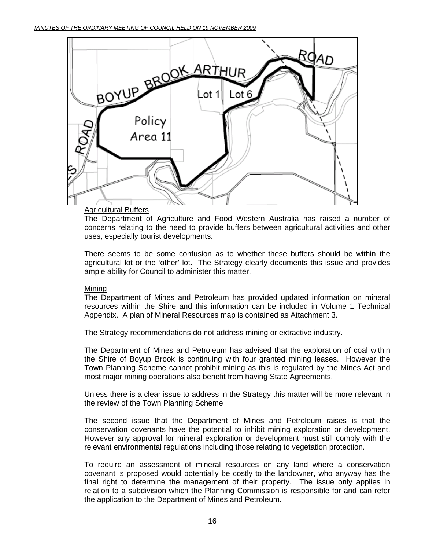

#### **Agricultural Buffers**

The Department of Agriculture and Food Western Australia has raised a number of concerns relating to the need to provide buffers between agricultural activities and other uses, especially tourist developments.

There seems to be some confusion as to whether these buffers should be within the agricultural lot or the 'other' lot. The Strategy clearly documents this issue and provides ample ability for Council to administer this matter.

#### Mining

The Department of Mines and Petroleum has provided updated information on mineral resources within the Shire and this information can be included in Volume 1 Technical Appendix. A plan of Mineral Resources map is contained as Attachment 3.

The Strategy recommendations do not address mining or extractive industry.

The Department of Mines and Petroleum has advised that the exploration of coal within the Shire of Boyup Brook is continuing with four granted mining leases. However the Town Planning Scheme cannot prohibit mining as this is regulated by the Mines Act and most major mining operations also benefit from having State Agreements.

Unless there is a clear issue to address in the Strategy this matter will be more relevant in the review of the Town Planning Scheme

The second issue that the Department of Mines and Petroleum raises is that the conservation covenants have the potential to inhibit mining exploration or development. However any approval for mineral exploration or development must still comply with the relevant environmental regulations including those relating to vegetation protection.

To require an assessment of mineral resources on any land where a conservation covenant is proposed would potentially be costly to the landowner, who anyway has the final right to determine the management of their property. The issue only applies in relation to a subdivision which the Planning Commission is responsible for and can refer the application to the Department of Mines and Petroleum.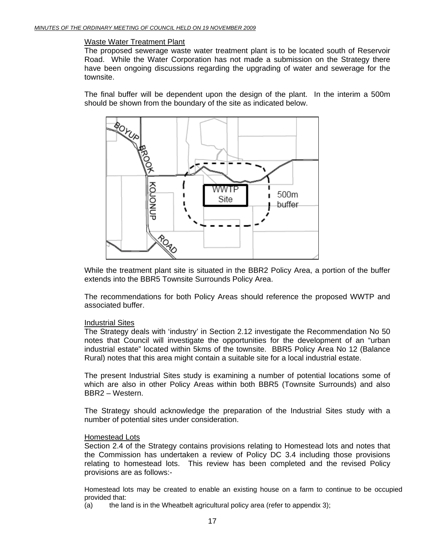#### Waste Water Treatment Plant

The proposed sewerage waste water treatment plant is to be located south of Reservoir Road. While the Water Corporation has not made a submission on the Strategy there have been ongoing discussions regarding the upgrading of water and sewerage for the townsite.

The final buffer will be dependent upon the design of the plant. In the interim a 500m should be shown from the boundary of the site as indicated below.



While the treatment plant site is situated in the BBR2 Policy Area, a portion of the buffer extends into the BBR5 Townsite Surrounds Policy Area.

The recommendations for both Policy Areas should reference the proposed WWTP and associated buffer.

#### Industrial Sites

The Strategy deals with 'industry' in Section 2.12 investigate the Recommendation No 50 notes that Council will investigate the opportunities for the development of an "urban industrial estate" located within 5kms of the townsite. BBR5 Policy Area No 12 (Balance Rural) notes that this area might contain a suitable site for a local industrial estate.

The present Industrial Sites study is examining a number of potential locations some of which are also in other Policy Areas within both BBR5 (Townsite Surrounds) and also BBR2 – Western.

The Strategy should acknowledge the preparation of the Industrial Sites study with a number of potential sites under consideration.

#### Homestead Lots

Section 2.4 of the Strategy contains provisions relating to Homestead lots and notes that the Commission has undertaken a review of Policy DC 3.4 including those provisions relating to homestead lots. This review has been completed and the revised Policy provisions are as follows:-

Homestead lots may be created to enable an existing house on a farm to continue to be occupied provided that:

(a) the land is in the Wheatbelt agricultural policy area (refer to appendix 3);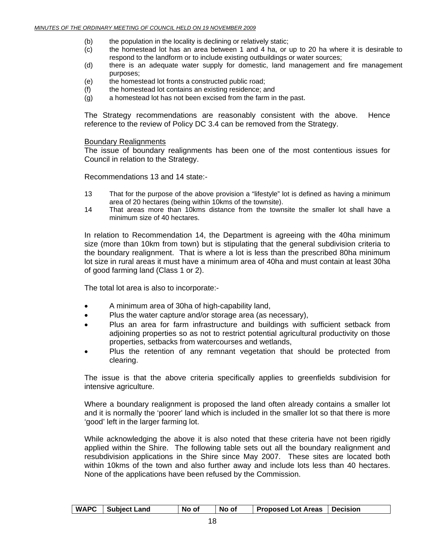- (b) the population in the locality is declining or relatively static;
- (c) the homestead lot has an area between 1 and 4 ha, or up to 20 ha where it is desirable to respond to the landform or to include existing outbuildings or water sources;
- (d) there is an adequate water supply for domestic, land management and fire management purposes;
- (e) the homestead lot fronts a constructed public road;
- (f) the homestead lot contains an existing residence; and
- (g) a homestead lot has not been excised from the farm in the past.

The Strategy recommendations are reasonably consistent with the above. Hence reference to the review of Policy DC 3.4 can be removed from the Strategy.

#### Boundary Realignments

The issue of boundary realignments has been one of the most contentious issues for Council in relation to the Strategy.

Recommendations 13 and 14 state:-

- 13 That for the purpose of the above provision a "lifestyle" lot is defined as having a minimum area of 20 hectares (being within 10kms of the townsite).
- 14 That areas more than 10kms distance from the townsite the smaller lot shall have a minimum size of 40 hectares.

In relation to Recommendation 14, the Department is agreeing with the 40ha minimum size (more than 10km from town) but is stipulating that the general subdivision criteria to the boundary realignment. That is where a lot is less than the prescribed 80ha minimum lot size in rural areas it must have a minimum area of 40ha and must contain at least 30ha of good farming land (Class 1 or 2).

The total lot area is also to incorporate:-

- A minimum area of 30ha of high-capability land,
- Plus the water capture and/or storage area (as necessary),
- Plus an area for farm infrastructure and buildings with sufficient setback from adjoining properties so as not to restrict potential agricultural productivity on those properties, setbacks from watercourses and wetlands,
- Plus the retention of any remnant vegetation that should be protected from clearing.

The issue is that the above criteria specifically applies to greenfields subdivision for intensive agriculture.

Where a boundary realignment is proposed the land often already contains a smaller lot and it is normally the 'poorer' land which is included in the smaller lot so that there is more 'good' left in the larger farming lot.

While acknowledging the above it is also noted that these criteria have not been rigidly applied within the Shire. The following table sets out all the boundary realignment and resubdivision applications in the Shire since May 2007. These sites are located both within 10kms of the town and also further away and include lots less than 40 hectares. None of the applications have been refused by the Commission.

| <b>WAPC</b> | <b>Subject Land</b> | No of | No of | <b>Proposed Lot Areas</b> | l Decision |
|-------------|---------------------|-------|-------|---------------------------|------------|
|             |                     |       |       |                           |            |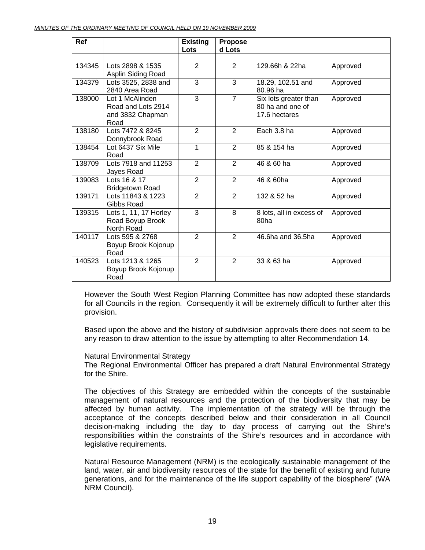| Ref    |                                                                   | <b>Existing</b> | <b>Propose</b> |                                                            |          |
|--------|-------------------------------------------------------------------|-----------------|----------------|------------------------------------------------------------|----------|
|        |                                                                   | Lots            | d Lots         |                                                            |          |
| 134345 | Lots 2898 & 1535<br>Asplin Siding Road                            | 2               | 2              | 129.66h & 22ha                                             | Approved |
| 134379 | Lots 3525, 2838 and<br>2840 Area Road                             | $\overline{3}$  | 3              | 18.29, 102.51 and<br>80.96 ha                              | Approved |
| 138000 | Lot 1 McAlinden<br>Road and Lots 2914<br>and 3832 Chapman<br>Road | $\overline{3}$  | $\overline{7}$ | Six lots greater than<br>80 ha and one of<br>17.6 hectares | Approved |
| 138180 | Lots 7472 & 8245<br>Donnybrook Road                               | 2               | $\overline{2}$ | Each 3.8 ha                                                | Approved |
| 138454 | Lot 6437 Six Mile<br>Road                                         | 1               | $\overline{2}$ | 85 & 154 ha                                                | Approved |
| 138709 | Lots 7918 and 11253<br>Jayes Road                                 | $\overline{2}$  | $\overline{2}$ | 46 & 60 ha                                                 | Approved |
| 139083 | Lots 16 & 17<br><b>Bridgetown Road</b>                            | 2               | $\overline{2}$ | 46 & 60ha                                                  | Approved |
| 139171 | Lots 11843 & 1223<br>Gibbs Road                                   | $\overline{2}$  | $\overline{2}$ | 132 & 52 ha                                                | Approved |
| 139315 | Lots 1, 11, 17 Horley<br>Road Boyup Brook<br>North Road           | 3               | 8              | 8 lots, all in excess of<br>80ha                           | Approved |
| 140117 | Lots 595 & 2768<br>Boyup Brook Kojonup<br>Road                    | $\overline{2}$  | $\overline{2}$ | 46.6ha and 36.5ha                                          | Approved |
| 140523 | Lots 1213 & 1265<br>Boyup Brook Kojonup<br>Road                   | $\overline{2}$  | 2              | 33 & 63 ha                                                 | Approved |

However the South West Region Planning Committee has now adopted these standards for all Councils in the region. Consequently it will be extremely difficult to further alter this provision.

Based upon the above and the history of subdivision approvals there does not seem to be any reason to draw attention to the issue by attempting to alter Recommendation 14.

#### Natural Environmental Strategy

The Regional Environmental Officer has prepared a draft Natural Environmental Strategy for the Shire.

The objectives of this Strategy are embedded within the concepts of the sustainable management of natural resources and the protection of the biodiversity that may be affected by human activity. The implementation of the strategy will be through the acceptance of the concepts described below and their consideration in all Council decision-making including the day to day process of carrying out the Shire's responsibilities within the constraints of the Shire's resources and in accordance with legislative requirements.

Natural Resource Management (NRM) is the ecologically sustainable management of the land, water, air and biodiversity resources of the state for the benefit of existing and future generations, and for the maintenance of the life support capability of the biosphere" (WA NRM Council).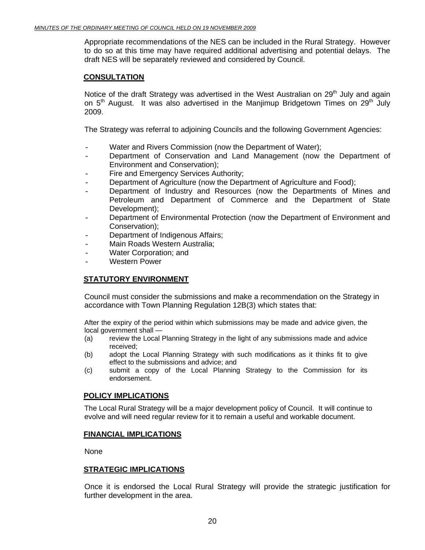Appropriate recommendations of the NES can be included in the Rural Strategy. However to do so at this time may have required additional advertising and potential delays. The draft NES will be separately reviewed and considered by Council.

#### **CONSULTATION**

Notice of the draft Strategy was advertised in the West Australian on  $29<sup>th</sup>$  July and again on  $5<sup>th</sup>$  August. It was also advertised in the Manjimup Bridgetown Times on  $29<sup>th</sup>$  July 2009.

The Strategy was referral to adjoining Councils and the following Government Agencies:

- Water and Rivers Commission (now the Department of Water);
- Department of Conservation and Land Management (now the Department of Environment and Conservation);
- Fire and Emergency Services Authority;
- Department of Agriculture (now the Department of Agriculture and Food);
- Department of Industry and Resources (now the Departments of Mines and Petroleum and Department of Commerce and the Department of State Development);
- Department of Environmental Protection (now the Department of Environment and Conservation);
- Department of Indigenous Affairs;
- Main Roads Western Australia;
- Water Corporation; and
- Western Power

#### **STATUTORY ENVIRONMENT**

Council must consider the submissions and make a recommendation on the Strategy in accordance with Town Planning Regulation 12B(3) which states that:

After the expiry of the period within which submissions may be made and advice given, the local government shall —

- (a) review the Local Planning Strategy in the light of any submissions made and advice received;
- (b) adopt the Local Planning Strategy with such modifications as it thinks fit to give effect to the submissions and advice; and
- (c) submit a copy of the Local Planning Strategy to the Commission for its endorsement.

#### **POLICY IMPLICATIONS**

The Local Rural Strategy will be a major development policy of Council. It will continue to evolve and will need regular review for it to remain a useful and workable document.

#### **FINANCIAL IMPLICATIONS**

None

#### **STRATEGIC IMPLICATIONS**

Once it is endorsed the Local Rural Strategy will provide the strategic justification for further development in the area.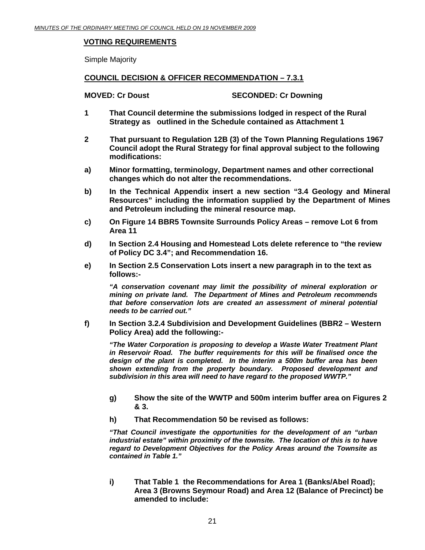#### **VOTING REQUIREMENTS**

Simple Majority

#### **COUNCIL DECISION & OFFICER RECOMMENDATION – 7.3.1**

**MOVED: Cr Doust SECONDED: Cr Downing** 

- **1 That Council determine the submissions lodged in respect of the Rural Strategy as outlined in the Schedule contained as Attachment 1**
- **2 That pursuant to Regulation 12B (3) of the Town Planning Regulations 1967 Council adopt the Rural Strategy for final approval subject to the following modifications:**
- **a) Minor formatting, terminology, Department names and other correctional changes which do not alter the recommendations.**
- **b) In the Technical Appendix insert a new section "3.4 Geology and Mineral Resources" including the information supplied by the Department of Mines and Petroleum including the mineral resource map.**
- **c) On Figure 14 BBR5 Townsite Surrounds Policy Areas remove Lot 6 from Area 11**
- **d) In Section 2.4 Housing and Homestead Lots delete reference to "the review of Policy DC 3.4"; and Recommendation 16.**
- **e) In Section 2.5 Conservation Lots insert a new paragraph in to the text as follows:-**

*"A conservation covenant may limit the possibility of mineral exploration or mining on private land. The Department of Mines and Petroleum recommends that before conservation lots are created an assessment of mineral potential needs to be carried out."* 

**f) In Section 3.2.4 Subdivision and Development Guidelines (BBR2 – Western Policy Area) add the following:-** 

*"The Water Corporation is proposing to develop a Waste Water Treatment Plant in Reservoir Road. The buffer requirements for this will be finalised once the design of the plant is completed. In the interim a 500m buffer area has been shown extending from the property boundary. Proposed development and subdivision in this area will need to have regard to the proposed WWTP."* 

- **g) Show the site of the WWTP and 500m interim buffer area on Figures 2 & 3.**
- **h) That Recommendation 50 be revised as follows:**

*"That Council investigate the opportunities for the development of an "urban industrial estate" within proximity of the townsite. The location of this is to have regard to Development Objectives for the Policy Areas around the Townsite as contained in Table 1."* 

**i) That Table 1 the Recommendations for Area 1 (Banks/Abel Road); Area 3 (Browns Seymour Road) and Area 12 (Balance of Precinct) be amended to include:**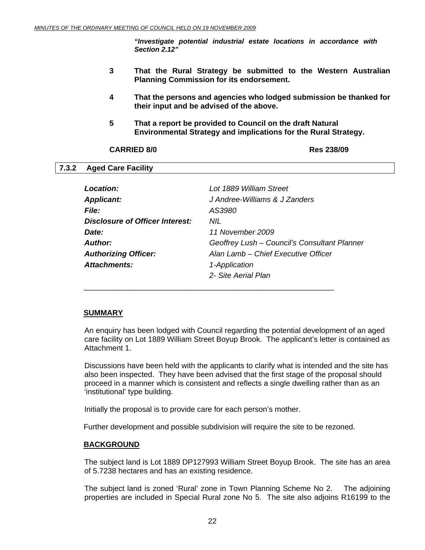*"Investigate potential industrial estate locations in accordance with Section 2.12"* 

- <span id="page-21-0"></span>**3 That the Rural Strategy be submitted to the Western Australian Planning Commission for its endorsement.**
- **4 That the persons and agencies who lodged submission be thanked for their input and be advised of the above.**
- **5 That a report be provided to Council on the draft Natural Environmental Strategy and implications for the Rural Strategy.**

#### **CARRIED 8/0 Res 238/09**

#### **7.3.2 Aged Care Facility**

| Location:                              | Lot 1889 William Street                      |
|----------------------------------------|----------------------------------------------|
| <b>Applicant:</b>                      | J Andree-Williams & J Zanders                |
| <b>File:</b>                           | AS3980                                       |
| <b>Disclosure of Officer Interest:</b> | NIL.                                         |
| Date:                                  | 11 November 2009                             |
| Author:                                | Geoffrey Lush - Council's Consultant Planner |
| <b>Authorizing Officer:</b>            | Alan Lamb – Chief Executive Officer          |
| Attachments:                           | 1-Application                                |
|                                        | 2- Site Aerial Plan                          |

#### **SUMMARY**

An enquiry has been lodged with Council regarding the potential development of an aged care facility on Lot 1889 William Street Boyup Brook. The applicant's letter is contained as Attachment 1.

Discussions have been held with the applicants to clarify what is intended and the site has also been inspected. They have been advised that the first stage of the proposal should proceed in a manner which is consistent and reflects a single dwelling rather than as an 'institutional' type building.

Initially the proposal is to provide care for each person's mother.

\_\_\_\_\_\_\_\_\_\_\_\_\_\_\_\_\_\_\_\_\_\_\_\_\_\_\_\_\_\_\_\_\_\_\_\_\_\_\_\_\_\_\_\_\_\_\_\_\_\_\_\_\_\_\_\_\_\_\_

Further development and possible subdivision will require the site to be rezoned.

#### **BACKGROUND**

The subject land is Lot 1889 DP127993 William Street Boyup Brook. The site has an area of 5.7238 hectares and has an existing residence.

The subject land is zoned 'Rural' zone in Town Planning Scheme No 2. The adjoining properties are included in Special Rural zone No 5. The site also adjoins R16199 to the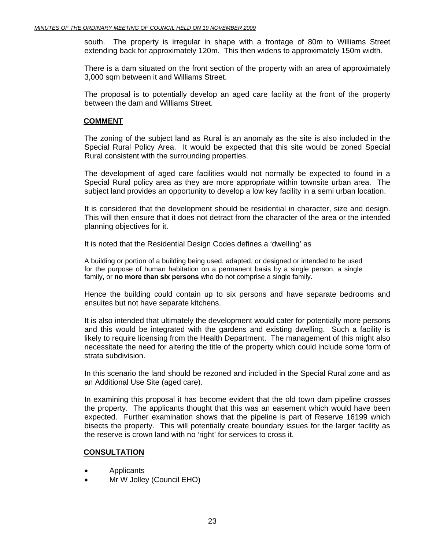south. The property is irregular in shape with a frontage of 80m to Williams Street extending back for approximately 120m. This then widens to approximately 150m width.

There is a dam situated on the front section of the property with an area of approximately 3,000 sqm between it and Williams Street.

The proposal is to potentially develop an aged care facility at the front of the property between the dam and Williams Street.

#### **COMMENT**

The zoning of the subject land as Rural is an anomaly as the site is also included in the Special Rural Policy Area. It would be expected that this site would be zoned Special Rural consistent with the surrounding properties.

The development of aged care facilities would not normally be expected to found in a Special Rural policy area as they are more appropriate within townsite urban area. The subject land provides an opportunity to develop a low key facility in a semi urban location.

It is considered that the development should be residential in character, size and design. This will then ensure that it does not detract from the character of the area or the intended planning objectives for it.

It is noted that the Residential Design Codes defines a 'dwelling' as

A building or portion of a building being used, adapted, or designed or intended to be used for the purpose of human habitation on a permanent basis by a single person, a single family, or **no more than six persons** who do not comprise a single family.

Hence the building could contain up to six persons and have separate bedrooms and ensuites but not have separate kitchens.

It is also intended that ultimately the development would cater for potentially more persons and this would be integrated with the gardens and existing dwelling. Such a facility is likely to require licensing from the Health Department. The management of this might also necessitate the need for altering the title of the property which could include some form of strata subdivision.

In this scenario the land should be rezoned and included in the Special Rural zone and as an Additional Use Site (aged care).

In examining this proposal it has become evident that the old town dam pipeline crosses the property. The applicants thought that this was an easement which would have been expected. Further examination shows that the pipeline is part of Reserve 16199 which bisects the property. This will potentially create boundary issues for the larger facility as the reserve is crown land with no 'right' for services to cross it.

#### **CONSULTATION**

- Applicants
- Mr W Jolley (Council EHO)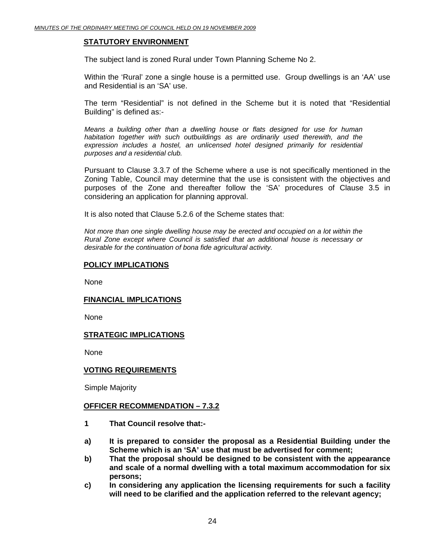#### **STATUTORY ENVIRONMENT**

The subject land is zoned Rural under Town Planning Scheme No 2.

Within the 'Rural' zone a single house is a permitted use. Group dwellings is an 'AA' use and Residential is an 'SA' use.

The term "Residential" is not defined in the Scheme but it is noted that "Residential Building" is defined as:-

*Means a building other than a dwelling house or flats designed for use for human habitation together with such outbuildings as are ordinarily used therewith, and the expression includes a hostel, an unlicensed hotel designed primarily for residential purposes and a residential club.* 

Pursuant to Clause 3.3.7 of the Scheme where a use is not specifically mentioned in the Zoning Table, Council may determine that the use is consistent with the objectives and purposes of the Zone and thereafter follow the 'SA' procedures of Clause 3.5 in considering an application for planning approval.

It is also noted that Clause 5.2.6 of the Scheme states that:

*Not more than one single dwelling house may be erected and occupied on a lot within the Rural Zone except where Council is satisfied that an additional house is necessary or desirable for the continuation of bona fide agricultural activity.* 

#### **POLICY IMPLICATIONS**

None

#### **FINANCIAL IMPLICATIONS**

None

#### **STRATEGIC IMPLICATIONS**

None

#### **VOTING REQUIREMENTS**

Simple Majority

#### **OFFICER RECOMMENDATION – 7.3.2**

- **1 That Council resolve that:-**
- **a) It is prepared to consider the proposal as a Residential Building under the Scheme which is an 'SA' use that must be advertised for comment;**
- **b) That the proposal should be designed to be consistent with the appearance and scale of a normal dwelling with a total maximum accommodation for six persons;**
- **c) In considering any application the licensing requirements for such a facility will need to be clarified and the application referred to the relevant agency;**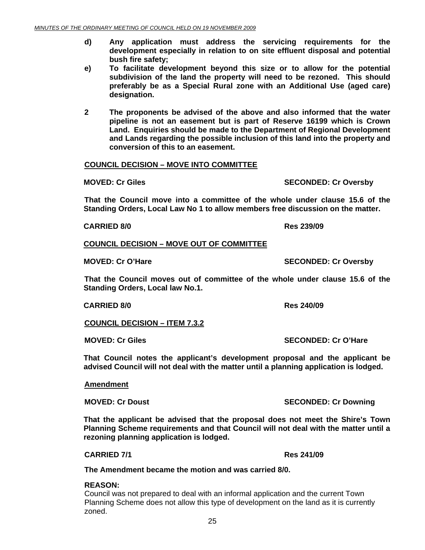- **d) Any application must address the servicing requirements for the development especially in relation to on site effluent disposal and potential bush fire safety;**
- **e) To facilitate development beyond this size or to allow for the potential subdivision of the land the property will need to be rezoned. This should preferably be as a Special Rural zone with an Additional Use (aged care) designation.**
- **2 The proponents be advised of the above and also informed that the water pipeline is not an easement but is part of Reserve 16199 which is Crown Land. Enquiries should be made to the Department of Regional Development and Lands regarding the possible inclusion of this land into the property and conversion of this to an easement.**

#### **COUNCIL DECISION – MOVE INTO COMMITTEE**

**MOVED: Cr Giles SECONDED: Cr Oversby** 

 **That the Council move into a committee of the whole under clause 15.6 of the Standing Orders, Local Law No 1 to allow members free discussion on the matter.** 

 **CARRIED 8/0 Res 239/09** 

#### **COUNCIL DECISION – MOVE OUT OF COMMITTEE**

 **That the Council moves out of committee of the whole under clause 15.6 of the Standing Orders, Local law No.1.** 

 **CARRIED 8/0 Res 240/09** 

**COUNCIL DECISION – ITEM 7.3.2**

**MOVED: Cr Giles SECONDED: Cr O'Hare** 

**That Council notes the applicant's development proposal and the applicant be advised Council will not deal with the matter until a planning application is lodged.** 

#### **Amendment**

**That the applicant be advised that the proposal does not meet the Shire's Town Planning Scheme requirements and that Council will not deal with the matter until a rezoning planning application is lodged.** 

**CARRIED 7/1 Res 241/09** 

**The Amendment became the motion and was carried 8/0.** 

#### **REASON:**

Council was not prepared to deal with an informal application and the current Town Planning Scheme does not allow this type of development on the land as it is currently zoned.

**MOVED: Cr O'Hare SECONDED: Cr Oversby** 

**MOVED: Cr Doust SECONDED: Cr Downing ATTLE SECONDED: Cr Downing 3**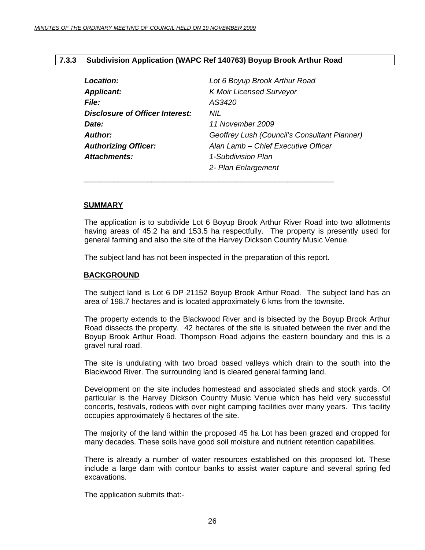#### <span id="page-25-0"></span>**7.3.3 Subdivision Application (WAPC Ref 140763) Boyup Brook Arthur Road**

| Location:                              | Lot 6 Boyup Brook Arthur Road                |
|----------------------------------------|----------------------------------------------|
| <b>Applicant:</b>                      | <b>K Moir Licensed Surveyor</b>              |
| <b>File:</b>                           | AS3420                                       |
| <b>Disclosure of Officer Interest:</b> | NIL.                                         |
| Date:                                  | 11 November 2009                             |
| Author:                                | Geoffrey Lush (Council's Consultant Planner) |
| <b>Authorizing Officer:</b>            | Alan Lamb – Chief Executive Officer          |
| <b>Attachments:</b>                    | 1-Subdivision Plan                           |
|                                        | 2- Plan Enlargement                          |

#### **SUMMARY**

The application is to subdivide Lot 6 Boyup Brook Arthur River Road into two allotments having areas of 45.2 ha and 153.5 ha respectfully. The property is presently used for general farming and also the site of the Harvey Dickson Country Music Venue.

The subject land has not been inspected in the preparation of this report.

\_\_\_\_\_\_\_\_\_\_\_\_\_\_\_\_\_\_\_\_\_\_\_\_\_\_\_\_\_\_\_\_\_\_\_\_\_\_\_\_\_\_\_\_\_\_\_\_\_\_\_\_\_\_\_\_\_\_\_

#### **BACKGROUND**

The subject land is Lot 6 DP 21152 Boyup Brook Arthur Road. The subject land has an area of 198.7 hectares and is located approximately 6 kms from the townsite.

The property extends to the Blackwood River and is bisected by the Boyup Brook Arthur Road dissects the property. 42 hectares of the site is situated between the river and the Boyup Brook Arthur Road. Thompson Road adjoins the eastern boundary and this is a gravel rural road.

The site is undulating with two broad based valleys which drain to the south into the Blackwood River. The surrounding land is cleared general farming land.

Development on the site includes homestead and associated sheds and stock yards. Of particular is the Harvey Dickson Country Music Venue which has held very successful concerts, festivals, rodeos with over night camping facilities over many years. This facility occupies approximately 6 hectares of the site.

The majority of the land within the proposed 45 ha Lot has been grazed and cropped for many decades. These soils have good soil moisture and nutrient retention capabilities.

There is already a number of water resources established on this proposed lot. These include a large dam with contour banks to assist water capture and several spring fed excavations.

The application submits that:-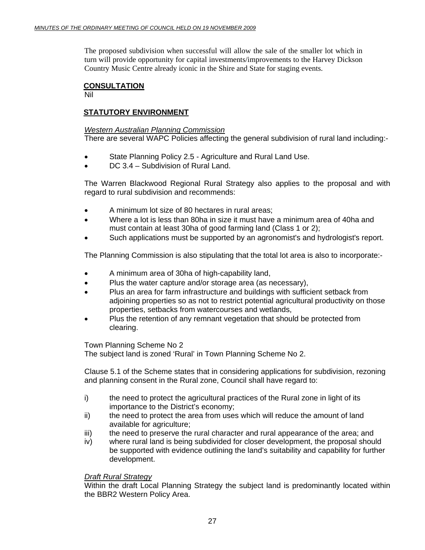The proposed subdivision when successful will allow the sale of the smaller lot which in turn will provide opportunity for capital investments/improvements to the Harvey Dickson Country Music Centre already iconic in the Shire and State for staging events.

### **CONSULTATION**

Nil

### **STATUTORY ENVIRONMENT**

#### *Western Australian Planning Commission*

There are several WAPC Policies affecting the general subdivision of rural land including:-

- State Planning Policy 2.5 Agriculture and Rural Land Use.
- DC 3.4 Subdivision of Rural Land.

The Warren Blackwood Regional Rural Strategy also applies to the proposal and with regard to rural subdivision and recommends:

- A minimum lot size of 80 hectares in rural areas;
- Where a lot is less than 80ha in size it must have a minimum area of 40ha and must contain at least 30ha of good farming land (Class 1 or 2);
- Such applications must be supported by an agronomist's and hydrologist's report.

The Planning Commission is also stipulating that the total lot area is also to incorporate:-

- A minimum area of 30ha of high-capability land,
- Plus the water capture and/or storage area (as necessary),
- Plus an area for farm infrastructure and buildings with sufficient setback from adjoining properties so as not to restrict potential agricultural productivity on those properties, setbacks from watercourses and wetlands,
- Plus the retention of any remnant vegetation that should be protected from clearing.

Town Planning Scheme No 2

The subject land is zoned 'Rural' in Town Planning Scheme No 2.

Clause 5.1 of the Scheme states that in considering applications for subdivision, rezoning and planning consent in the Rural zone, Council shall have regard to:

- i) the need to protect the agricultural practices of the Rural zone in light of its importance to the District's economy;
- ii) the need to protect the area from uses which will reduce the amount of land available for agriculture;
- iii) the need to preserve the rural character and rural appearance of the area; and
- iv) where rural land is being subdivided for closer development, the proposal should be supported with evidence outlining the land's suitability and capability for further development.

#### *Draft Rural Strategy*

Within the draft Local Planning Strategy the subject land is predominantly located within the BBR2 Western Policy Area.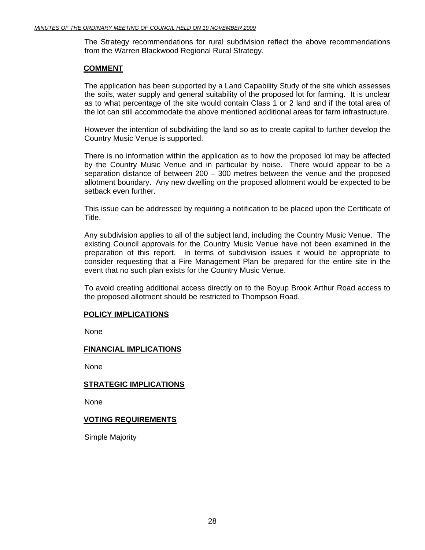The Strategy recommendations for rural subdivision reflect the above recommendations from the Warren Blackwood Regional Rural Strategy.

#### **COMMENT**

The application has been supported by a Land Capability Study of the site which assesses the soils, water supply and general suitability of the proposed lot for farming. It is unclear as to what percentage of the site would contain Class 1 or 2 land and if the total area of the lot can still accommodate the above mentioned additional areas for farm infrastructure.

However the intention of subdividing the land so as to create capital to further develop the Country Music Venue is supported.

There is no information within the application as to how the proposed lot may be affected by the Country Music Venue and in particular by noise. There would appear to be a separation distance of between 200 – 300 metres between the venue and the proposed allotment boundary. Any new dwelling on the proposed allotment would be expected to be setback even further.

This issue can be addressed by requiring a notification to be placed upon the Certificate of Title.

Any subdivision applies to all of the subject land, including the Country Music Venue. The existing Council approvals for the Country Music Venue have not been examined in the preparation of this report. In terms of subdivision issues it would be appropriate to consider requesting that a Fire Management Plan be prepared for the entire site in the event that no such plan exists for the Country Music Venue.

To avoid creating additional access directly on to the Boyup Brook Arthur Road access to the proposed allotment should be restricted to Thompson Road.

#### **POLICY IMPLICATIONS**

None

#### **FINANCIAL IMPLICATIONS**

None

#### **STRATEGIC IMPLICATIONS**

None

#### **VOTING REQUIREMENTS**

Simple Majority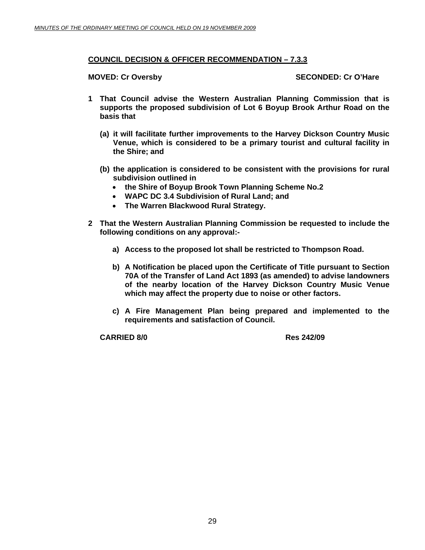#### **COUNCIL DECISION & OFFICER RECOMMENDATION – 7.3.3**

**MOVED: Cr Oversby SECONDED: Cr O'Hare SECONDED: Cr O'Hare** 

- **1 That Council advise the Western Australian Planning Commission that is supports the proposed subdivision of Lot 6 Boyup Brook Arthur Road on the basis that** 
	- **(a) it will facilitate further improvements to the Harvey Dickson Country Music Venue, which is considered to be a primary tourist and cultural facility in the Shire; and**
	- **(b) the application is considered to be consistent with the provisions for rural subdivision outlined in** 
		- **the Shire of Boyup Brook Town Planning Scheme No.2**
		- **WAPC DC 3.4 Subdivision of Rural Land; and**
		- **The Warren Blackwood Rural Strategy.**
- **2 That the Western Australian Planning Commission be requested to include the following conditions on any approval:** 
	- **a) Access to the proposed lot shall be restricted to Thompson Road.**
	- **b) A Notification be placed upon the Certificate of Title pursuant to Section 70A of the Transfer of Land Act 1893 (as amended) to advise landowners of the nearby location of the Harvey Dickson Country Music Venue which may affect the property due to noise or other factors.**
	- **c) A Fire Management Plan being prepared and implemented to the requirements and satisfaction of Council.**

**CARRIED 8/0 Res 242/09**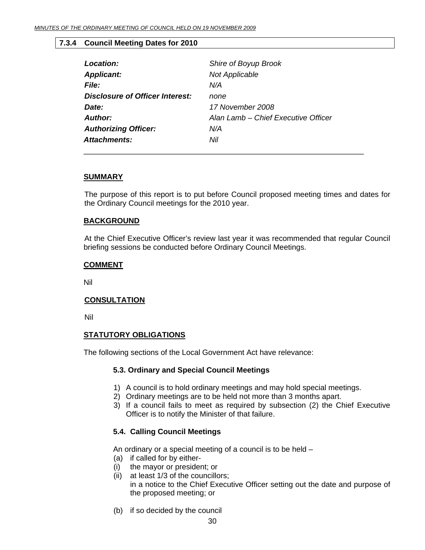#### **7.3.4 Council Meeting Dates for 2010**

<span id="page-29-0"></span>

| Location:                       | Shire of Boyup Brook                |
|---------------------------------|-------------------------------------|
| <b>Applicant:</b>               | <b>Not Applicable</b>               |
| <b>File:</b>                    | N/A                                 |
| Disclosure of Officer Interest: | none                                |
| Date:                           | 17 November 2008                    |
| Author:                         | Alan Lamb - Chief Executive Officer |
| <b>Authorizing Officer:</b>     | N/A                                 |
| Attachments:                    | Nil                                 |
|                                 |                                     |

#### **SUMMARY**

The purpose of this report is to put before Council proposed meeting times and dates for the Ordinary Council meetings for the 2010 year.

#### **BACKGROUND**

At the Chief Executive Officer's review last year it was recommended that regular Council briefing sessions be conducted before Ordinary Council Meetings.

#### **COMMENT**

Nil

#### **CONSULTATION**

Nil

#### **STATUTORY OBLIGATIONS**

The following sections of the Local Government Act have relevance:

#### **5.3. Ordinary and Special Council Meetings**

- 1) A council is to hold ordinary meetings and may hold special meetings.
- 2) Ordinary meetings are to be held not more than 3 months apart.
- 3) If a council fails to meet as required by subsection (2) the Chief Executive Officer is to notify the Minister of that failure.

#### **5.4. Calling Council Meetings**

An ordinary or a special meeting of a council is to be held –

- (a) if called for by either-
- (i) the mayor or president; or
- (ii) at least 1/3 of the councillors; in a notice to the Chief Executive Officer setting out the date and purpose of the proposed meeting; or
- (b) if so decided by the council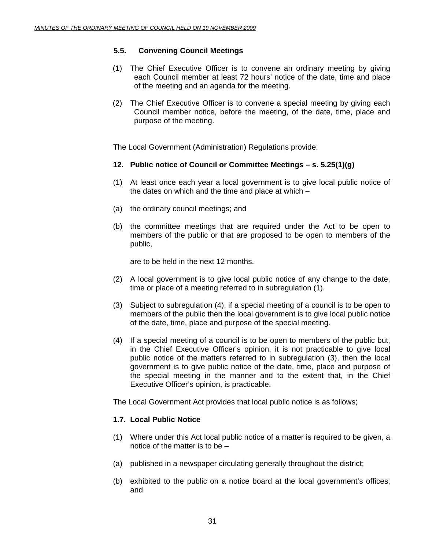#### **5.5. Convening Council Meetings**

- (1) The Chief Executive Officer is to convene an ordinary meeting by giving each Council member at least 72 hours' notice of the date, time and place of the meeting and an agenda for the meeting.
- (2) The Chief Executive Officer is to convene a special meeting by giving each Council member notice, before the meeting, of the date, time, place and purpose of the meeting.

The Local Government (Administration) Regulations provide:

#### **12. Public notice of Council or Committee Meetings – s. 5.25(1)(g)**

- (1) At least once each year a local government is to give local public notice of the dates on which and the time and place at which –
- (a) the ordinary council meetings; and
- (b) the committee meetings that are required under the Act to be open to members of the public or that are proposed to be open to members of the public,

are to be held in the next 12 months.

- (2) A local government is to give local public notice of any change to the date, time or place of a meeting referred to in subregulation (1).
- (3) Subject to subregulation (4), if a special meeting of a council is to be open to members of the public then the local government is to give local public notice of the date, time, place and purpose of the special meeting.
- (4) If a special meeting of a council is to be open to members of the public but, in the Chief Executive Officer's opinion, it is not practicable to give local public notice of the matters referred to in subregulation (3), then the local government is to give public notice of the date, time, place and purpose of the special meeting in the manner and to the extent that, in the Chief Executive Officer's opinion, is practicable.

The Local Government Act provides that local public notice is as follows;

#### **1.7. Local Public Notice**

- (1) Where under this Act local public notice of a matter is required to be given, a notice of the matter is to be –
- (a) published in a newspaper circulating generally throughout the district;
- (b) exhibited to the public on a notice board at the local government's offices; and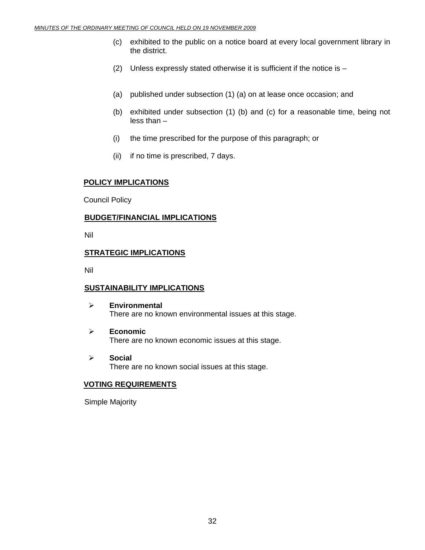- (c) exhibited to the public on a notice board at every local government library in the district.
- (2) Unless expressly stated otherwise it is sufficient if the notice is –
- (a) published under subsection (1) (a) on at lease once occasion; and
- (b) exhibited under subsection (1) (b) and (c) for a reasonable time, being not less than –
- (i) the time prescribed for the purpose of this paragraph; or
- (ii) if no time is prescribed, 7 days.

#### **POLICY IMPLICATIONS**

Council Policy

#### **BUDGET/FINANCIAL IMPLICATIONS**

Nil

#### **STRATEGIC IMPLICATIONS**

Nil

#### **SUSTAINABILITY IMPLICATIONS**

- ¾ **Environmental**  There are no known environmental issues at this stage.
- ¾ **Economic**  There are no known economic issues at this stage.
- ¾ **Social**  There are no known social issues at this stage.

#### **VOTING REQUIREMENTS**

Simple Majority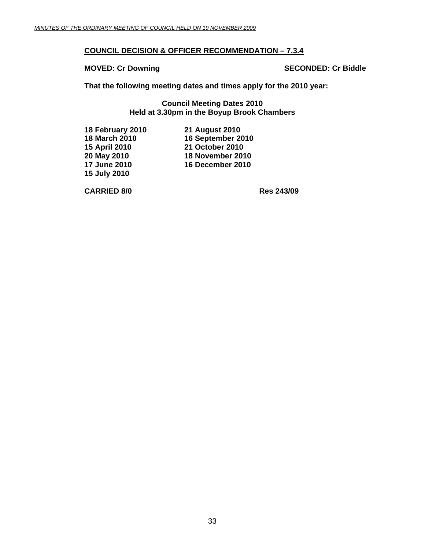#### **COUNCIL DECISION & OFFICER RECOMMENDATION – 7.3.4**

**MOVED: Cr Downing Case of Cr Biddle SECONDED: Cr Biddle** 

**That the following meeting dates and times apply for the 2010 year:** 

**Council Meeting Dates 2010 Held at 3.30pm in the Boyup Brook Chambers** 

| 18 February 2010 | <b>21 August 2010</b>  |
|------------------|------------------------|
| 18 March 2010    | 16 September 2010      |
| 15 April 2010    | <b>21 October 2010</b> |
| 20 May 2010      | 18 November 2010       |
| 17 June 2010     | 16 December 2010       |
| 15 July 2010     |                        |

 **CARRIED 8/0 Res 243/09**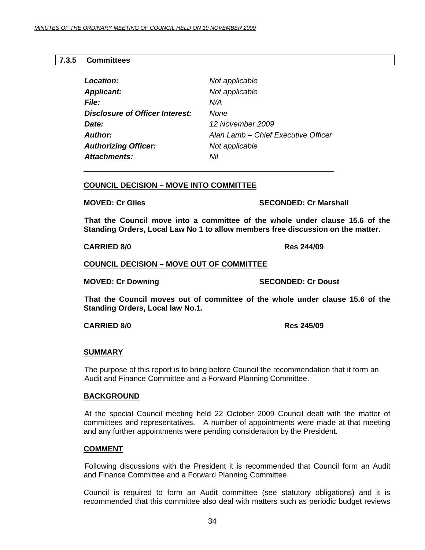#### <span id="page-33-0"></span>**7.3.5 Committees**

| Location:                       | Not applicable                      |
|---------------------------------|-------------------------------------|
| <b>Applicant:</b>               | Not applicable                      |
| <i>File:</i>                    | N/A                                 |
| Disclosure of Officer Interest: | None                                |
| Date:                           | 12 November 2009                    |
| Author:                         | Alan Lamb – Chief Executive Officer |
| <b>Authorizing Officer:</b>     | Not applicable                      |
| Attachments:                    | Nil                                 |

#### **COUNCIL DECISION – MOVE INTO COMMITTEE**

\_\_\_\_\_\_\_\_\_\_\_\_\_\_\_\_\_\_\_\_\_\_\_\_\_\_\_\_\_\_\_\_\_\_\_\_\_\_\_\_\_\_\_\_\_\_\_\_\_\_\_\_\_\_\_\_\_\_\_

**MOVED: Cr Giles SECONDED: Cr Marshall** 

 **That the Council move into a committee of the whole under clause 15.6 of the Standing Orders, Local Law No 1 to allow members free discussion on the matter.** 

 **CARRIED 8/0 Res 244/09** 

**COUNCIL DECISION – MOVE OUT OF COMMITTEE**

**MOVED: Cr Downing Case Conduct 2 SECONDED: Cr Doust** 

 **That the Council moves out of committee of the whole under clause 15.6 of the Standing Orders, Local law No.1.** 

#### **CARRIED 8/0 Res 245/09**

#### **SUMMARY**

The purpose of this report is to bring before Council the recommendation that it form an Audit and Finance Committee and a Forward Planning Committee.

#### **BACKGROUND**

 At the special Council meeting held 22 October 2009 Council dealt with the matter of committees and representatives. A number of appointments were made at that meeting and any further appointments were pending consideration by the President.

#### **COMMENT**

 Following discussions with the President it is recommended that Council form an Audit and Finance Committee and a Forward Planning Committee.

Council is required to form an Audit committee (see statutory obligations) and it is recommended that this committee also deal with matters such as periodic budget reviews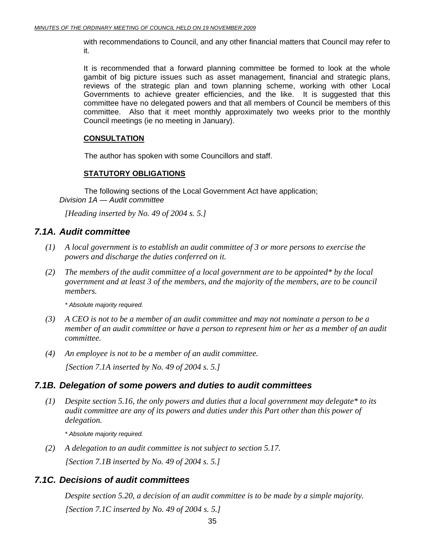with recommendations to Council, and any other financial matters that Council may refer to it.

It is recommended that a forward planning committee be formed to look at the whole gambit of big picture issues such as asset management, financial and strategic plans, reviews of the strategic plan and town planning scheme, working with other Local Governments to achieve greater efficiencies, and the like. It is suggested that this committee have no delegated powers and that all members of Council be members of this committee. Also that it meet monthly approximately two weeks prior to the monthly Council meetings (ie no meeting in January).

#### **CONSULTATION**

The author has spoken with some Councillors and staff.

#### **STATUTORY OBLIGATIONS**

The following sections of the Local Government Act have application; *Division 1A* — *Audit committee*

 *[Heading inserted by No. 49 of 2004 s. 5.]* 

### *7.1A. Audit committee*

- *(1) A local government is to establish an audit committee of 3 or more persons to exercise the powers and discharge the duties conferred on it.*
- *(2) The members of the audit committee of a local government are to be appointed\* by the local government and at least 3 of the members, and the majority of the members, are to be council members.*

 *\* Absolute majority required.* 

- *(3) A CEO is not to be a member of an audit committee and may not nominate a person to be a member of an audit committee or have a person to represent him or her as a member of an audit committee.*
- *(4) An employee is not to be a member of an audit committee. [Section 7.1A inserted by No. 49 of 2004 s. 5.]*

### *7.1B. Delegation of some powers and duties to audit committees*

 *(1) Despite section 5.16, the only powers and duties that a local government may delegate\* to its audit committee are any of its powers and duties under this Part other than this power of delegation.* 

 *\* Absolute majority required.* 

 *(2) A delegation to an audit committee is not subject to section 5.17. [Section 7.1B inserted by No. 49 of 2004 s. 5.]* 

### *7.1C. Decisions of audit committees*

 *Despite section 5.20, a decision of an audit committee is to be made by a simple majority. [Section 7.1C inserted by No. 49 of 2004 s. 5.]*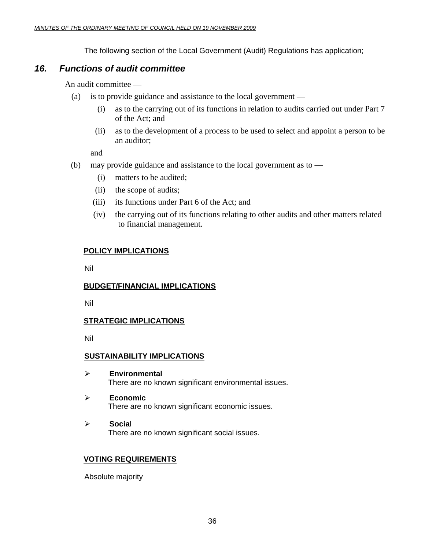The following section of the Local Government (Audit) Regulations has application;

### *16. Functions of audit committee*

An audit committee —

- (a) is to provide guidance and assistance to the local government
	- (i) as to the carrying out of its functions in relation to audits carried out under Part 7 of the Act; and
	- (ii) as to the development of a process to be used to select and appoint a person to be an auditor;

and

- (b) may provide guidance and assistance to the local government as to
	- (i) matters to be audited;
	- (ii) the scope of audits;
	- (iii) its functions under Part 6 of the Act; and
	- (iv) the carrying out of its functions relating to other audits and other matters related to financial management.

### **POLICY IMPLICATIONS**

Nil

#### **BUDGET/FINANCIAL IMPLICATIONS**

Nil

#### **STRATEGIC IMPLICATIONS**

Nil

#### **SUSTAINABILITY IMPLICATIONS**

- ¾ **Environmental**  There are no known significant environmental issues.
- ¾ **Economic**  There are no known significant economic issues.
- ¾ **Socia**l There are no known significant social issues.

#### **VOTING REQUIREMENTS**

Absolute majority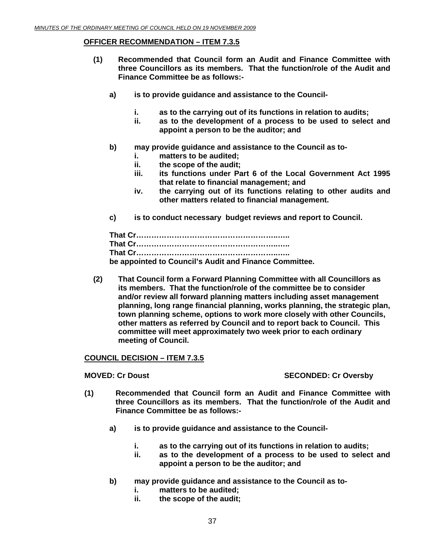#### **OFFICER RECOMMENDATION – ITEM 7.3.5**

- **(1) Recommended that Council form an Audit and Finance Committee with three Councillors as its members. That the function/role of the Audit and Finance Committee be as follows:** 
	- **a) is to provide guidance and assistance to the Council**
		- **i. as to the carrying out of its functions in relation to audits;**
		- **ii. as to the development of a process to be used to select and appoint a person to be the auditor; and**
	- **b) may provide guidance and assistance to the Council as to**
		- **i. matters to be audited;**
		- **ii. the scope of the audit;**
		- **iii. its functions under Part 6 of the Local Government Act 1995 that relate to financial management; and**
		- **iv. the carrying out of its functions relating to other audits and other matters related to financial management.**
	- **c) is to conduct necessary budget reviews and report to Council.**

| be appointed to Council's Audit and Finance Committee. |
|--------------------------------------------------------|

**(2) That Council form a Forward Planning Committee with all Councillors as its members. That the function/role of the committee be to consider and/or review all forward planning matters including asset management planning, long range financial planning, works planning, the strategic plan, town planning scheme, options to work more closely with other Councils, other matters as referred by Council and to report back to Council. This committee will meet approximately two week prior to each ordinary meeting of Council.** 

#### **COUNCIL DECISION – ITEM 7.3.5**

#### **MOVED: Cr Doust SECONDED: Cr Oversby**

- **(1) Recommended that Council form an Audit and Finance Committee with three Councillors as its members. That the function/role of the Audit and Finance Committee be as follows:** 
	- **a) is to provide guidance and assistance to the Council**
		- **i. as to the carrying out of its functions in relation to audits;**
		- **ii. as to the development of a process to be used to select and appoint a person to be the auditor; and**
	- **b) may provide guidance and assistance to the Council as to**
		- **i. matters to be audited;**
		- **ii. the scope of the audit;**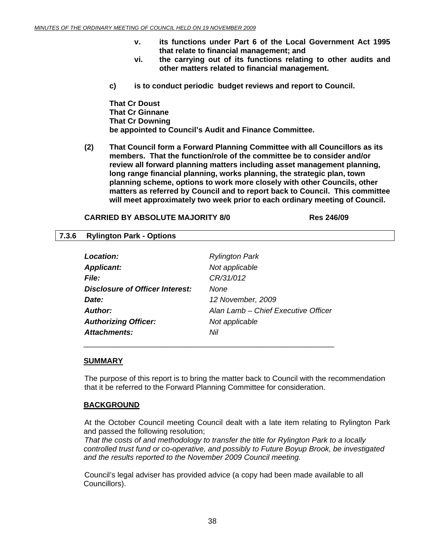- **v. its functions under Part 6 of the Local Government Act 1995 that relate to financial management; and**
- **vi. the carrying out of its functions relating to other audits and other matters related to financial management.**
- <span id="page-37-0"></span>**c) is to conduct periodic budget reviews and report to Council.**

**That Cr Doust That Cr Ginnane That Cr Downing be appointed to Council's Audit and Finance Committee.** 

**(2) That Council form a Forward Planning Committee with all Councillors as its members. That the function/role of the committee be to consider and/or review all forward planning matters including asset management planning, long range financial planning, works planning, the strategic plan, town planning scheme, options to work more closely with other Councils, other matters as referred by Council and to report back to Council. This committee will meet approximately two week prior to each ordinary meeting of Council.** 

#### **CARRIED BY ABSOLUTE MAJORITY 8/0 Res 246/09**

#### **7.3.6 Rylington Park - Options**

| Location:                              | <b>Rylington Park</b>               |
|----------------------------------------|-------------------------------------|
| <b>Applicant:</b>                      | Not applicable                      |
| <b>File:</b>                           | CR/31/012                           |
| <b>Disclosure of Officer Interest:</b> | None                                |
| Date:                                  | 12 November, 2009                   |
| Author:                                | Alan Lamb - Chief Executive Officer |
| <b>Authorizing Officer:</b>            | Not applicable                      |
| Attachments:                           | Nil                                 |

\_\_\_\_\_\_\_\_\_\_\_\_\_\_\_\_\_\_\_\_\_\_\_\_\_\_\_\_\_\_\_\_\_\_\_\_\_\_\_\_\_\_\_\_\_\_\_\_\_\_\_\_\_\_\_\_\_\_\_

#### **SUMMARY**

The purpose of this report is to bring the matter back to Council with the recommendation that it be referred to the Forward Planning Committee for consideration.

#### **BACKGROUND**

 At the October Council meeting Council dealt with a late item relating to Rylington Park and passed the following resolution;

*That the costs of and methodology to transfer the title for Rylington Park to a locally controlled trust fund or co-operative, and possibly to Future Boyup Brook, be investigated and the results reported to the November 2009 Council meeting.* 

Council's legal adviser has provided advice (a copy had been made available to all Councillors).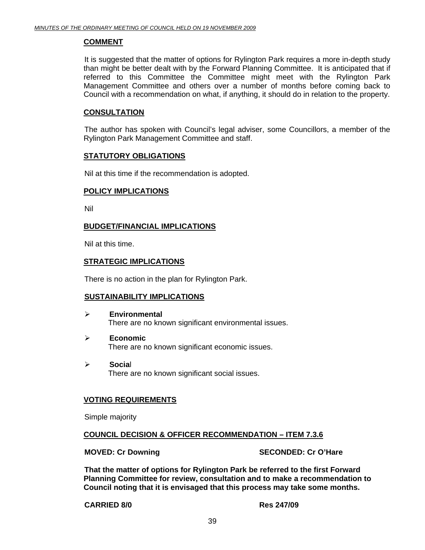#### **COMMENT**

 It is suggested that the matter of options for Rylington Park requires a more in-depth study than might be better dealt with by the Forward Planning Committee. It is anticipated that if referred to this Committee the Committee might meet with the Rylington Park Management Committee and others over a number of months before coming back to Council with a recommendation on what, if anything, it should do in relation to the property.

#### **CONSULTATION**

 The author has spoken with Council's legal adviser, some Councillors, a member of the Rylington Park Management Committee and staff.

#### **STATUTORY OBLIGATIONS**

Nil at this time if the recommendation is adopted.

#### **POLICY IMPLICATIONS**

Nil

#### **BUDGET/FINANCIAL IMPLICATIONS**

Nil at this time.

#### **STRATEGIC IMPLICATIONS**

There is no action in the plan for Rylington Park.

#### **SUSTAINABILITY IMPLICATIONS**

- ¾ **Environmental**  There are no known significant environmental issues.
- ¾ **Economic**  There are no known significant economic issues.
- ¾ **Socia**l There are no known significant social issues.

#### **VOTING REQUIREMENTS**

Simple majority

#### **COUNCIL DECISION & OFFICER RECOMMENDATION – ITEM 7.3.6**

**MOVED: Cr Downing Case Conducts Account SECONDED: Cr O'Hare** 

**That the matter of options for Rylington Park be referred to the first Forward Planning Committee for review, consultation and to make a recommendation to Council noting that it is envisaged that this process may take some months.** 

 **CARRIED 8/0 Res 247/09**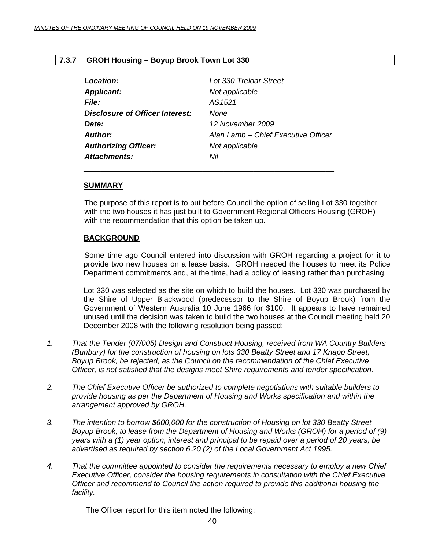#### <span id="page-39-0"></span>**7.3.7 GROH Housing – Boyup Brook Town Lot 330**

| Location:                              | Lot 330 Treloar Street              |
|----------------------------------------|-------------------------------------|
| <b>Applicant:</b>                      | Not applicable                      |
| <i>File:</i>                           | AS1521                              |
| <b>Disclosure of Officer Interest:</b> | None                                |
| Date:                                  | 12 November 2009                    |
| Author:                                | Alan Lamb - Chief Executive Officer |
| <b>Authorizing Officer:</b>            | Not applicable                      |
| <b>Attachments:</b>                    | Nil                                 |

\_\_\_\_\_\_\_\_\_\_\_\_\_\_\_\_\_\_\_\_\_\_\_\_\_\_\_\_\_\_\_\_\_\_\_\_\_\_\_\_\_\_\_\_\_\_\_\_\_\_\_\_\_\_\_\_\_\_\_

#### **SUMMARY**

The purpose of this report is to put before Council the option of selling Lot 330 together with the two houses it has just built to Government Regional Officers Housing (GROH) with the recommendation that this option be taken up.

#### **BACKGROUND**

 Some time ago Council entered into discussion with GROH regarding a project for it to provide two new houses on a lease basis. GROH needed the houses to meet its Police Department commitments and, at the time, had a policy of leasing rather than purchasing.

Lot 330 was selected as the site on which to build the houses. Lot 330 was purchased by the Shire of Upper Blackwood (predecessor to the Shire of Boyup Brook) from the Government of Western Australia 10 June 1966 for \$100. It appears to have remained unused until the decision was taken to build the two houses at the Council meeting held 20 December 2008 with the following resolution being passed:

- *1. That the Tender (07/005) Design and Construct Housing, received from WA Country Builders (Bunbury) for the construction of housing on lots 330 Beatty Street and 17 Knapp Street, Boyup Brook, be rejected, as the Council on the recommendation of the Chief Executive Officer, is not satisfied that the designs meet Shire requirements and tender specification.*
- *2. The Chief Executive Officer be authorized to complete negotiations with suitable builders to provide housing as per the Department of Housing and Works specification and within the arrangement approved by GROH.*
- *3. The intention to borrow \$600,000 for the construction of Housing on lot 330 Beatty Street Boyup Brook, to lease from the Department of Housing and Works (GROH) for a period of (9) years with a (1) year option, interest and principal to be repaid over a period of 20 years, be advertised as required by section 6.20 (2) of the Local Government Act 1995.*
- *4. That the committee appointed to consider the requirements necessary to employ a new Chief Executive Officer, consider the housing requirements in consultation with the Chief Executive Officer and recommend to Council the action required to provide this additional housing the facility.*

The Officer report for this item noted the following;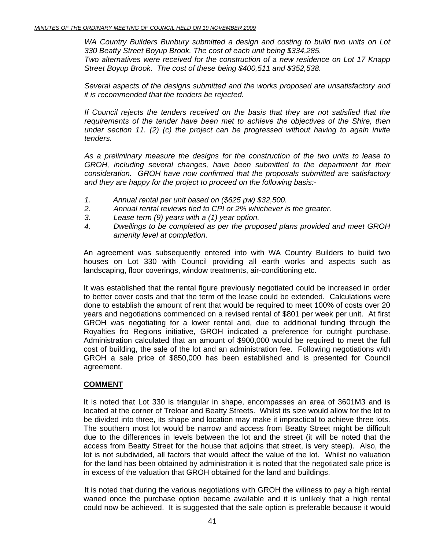*WA Country Builders Bunbury submitted a design and costing to build two units on Lot 330 Beatty Street Boyup Brook. The cost of each unit being \$334,285. Two alternatives were received for the construction of a new residence on Lot 17 Knapp* 

*Street Boyup Brook. The cost of these being \$400,511 and \$352,538.* 

*Several aspects of the designs submitted and the works proposed are unsatisfactory and it is recommended that the tenders be rejected.* 

*If Council rejects the tenders received on the basis that they are not satisfied that the requirements of the tender have been met to achieve the objectives of the Shire, then under section 11. (2) (c) the project can be progressed without having to again invite tenders.* 

*As a preliminary measure the designs for the construction of the two units to lease to GROH, including several changes, have been submitted to the department for their consideration. GROH have now confirmed that the proposals submitted are satisfactory and they are happy for the project to proceed on the following basis:-* 

- *1. Annual rental per unit based on (\$625 pw) \$32,500.*
- *2. Annual rental reviews tied to CPI or 2% whichever is the greater.*
- *3. Lease term (9) years with a (1) year option.*
- *4. Dwellings to be completed as per the proposed plans provided and meet GROH amenity level at completion.*

An agreement was subsequently entered into with WA Country Builders to build two houses on Lot 330 with Council providing all earth works and aspects such as landscaping, floor coverings, window treatments, air-conditioning etc.

It was established that the rental figure previously negotiated could be increased in order to better cover costs and that the term of the lease could be extended. Calculations were done to establish the amount of rent that would be required to meet 100% of costs over 20 years and negotiations commenced on a revised rental of \$801 per week per unit. At first GROH was negotiating for a lower rental and, due to additional funding through the Royalties fro Regions initiative, GROH indicated a preference for outright purchase. Administration calculated that an amount of \$900,000 would be required to meet the full cost of building, the sale of the lot and an administration fee. Following negotiations with GROH a sale price of \$850,000 has been established and is presented for Council agreement.

#### **COMMENT**

It is noted that Lot 330 is triangular in shape, encompasses an area of 3601M3 and is located at the corner of Treloar and Beatty Streets. Whilst its size would allow for the lot to be divided into three, its shape and location may make it impractical to achieve three lots. The southern most lot would be narrow and access from Beatty Street might be difficult due to the differences in levels between the lot and the street (it will be noted that the access from Beatty Street for the house that adjoins that street, is very steep). Also, the lot is not subdivided, all factors that would affect the value of the lot. Whilst no valuation for the land has been obtained by administration it is noted that the negotiated sale price is in excess of the valuation that GROH obtained for the land and buildings.

 It is noted that during the various negotiations with GROH the wiliness to pay a high rental waned once the purchase option became available and it is unlikely that a high rental could now be achieved. It is suggested that the sale option is preferable because it would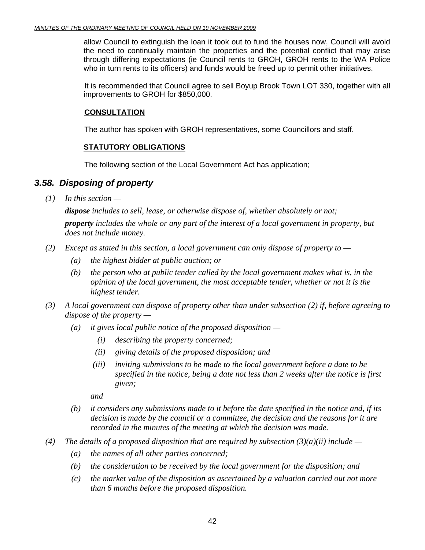allow Council to extinguish the loan it took out to fund the houses now, Council will avoid the need to continually maintain the properties and the potential conflict that may arise through differing expectations (ie Council rents to GROH, GROH rents to the WA Police who in turn rents to its officers) and funds would be freed up to permit other initiatives.

 It is recommended that Council agree to sell Boyup Brook Town LOT 330, together with all improvements to GROH for \$850,000.

### **CONSULTATION**

The author has spoken with GROH representatives, some Councillors and staff.

### **STATUTORY OBLIGATIONS**

The following section of the Local Government Act has application;

### *3.58. Disposing of property*

 *(1) In this section —* 

*dispose includes to sell, lease, or otherwise dispose of, whether absolutely or not; property includes the whole or any part of the interest of a local government in property, but does not include money.* 

- *(2) Except as stated in this section, a local government can only dispose of property to* 
	- *(a) the highest bidder at public auction; or*
	- *(b) the person who at public tender called by the local government makes what is, in the opinion of the local government, the most acceptable tender, whether or not it is the highest tender.*
- *(3) A local government can dispose of property other than under subsection (2) if, before agreeing to dispose of the property —* 
	- *(a) it gives local public notice of the proposed disposition* 
		- *(i) describing the property concerned;*
		- *(ii) giving details of the proposed disposition; and*
		- *(iii) inviting submissions to be made to the local government before a date to be specified in the notice, being a date not less than 2 weeks after the notice is first given;*

 *and* 

- *(b) it considers any submissions made to it before the date specified in the notice and, if its decision is made by the council or a committee, the decision and the reasons for it are recorded in the minutes of the meeting at which the decision was made.*
- *(4) The details of a proposed disposition that are required by subsection (3)(a)(ii) include* 
	- *(a) the names of all other parties concerned;*
	- *(b) the consideration to be received by the local government for the disposition; and*
	- *(c) the market value of the disposition as ascertained by a valuation carried out not more than 6 months before the proposed disposition.*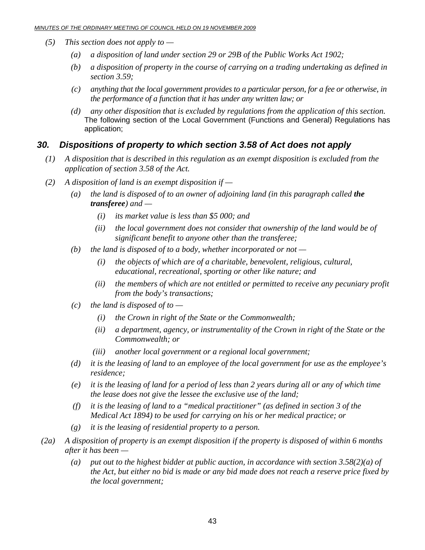- *(5) This section does not apply to* 
	- *(a) a disposition of land under section 29 or 29B of the Public Works Act 1902;*
	- *(b) a disposition of property in the course of carrying on a trading undertaking as defined in section 3.59;*
	- *(c) anything that the local government provides to a particular person, for a fee or otherwise, in the performance of a function that it has under any written law; or*
	- *(d) any other disposition that is excluded by regulations from the application of this section.*  The following section of the Local Government (Functions and General) Regulations has application;

### *30. Dispositions of property to which section 3.58 of Act does not apply*

- *(1) A disposition that is described in this regulation as an exempt disposition is excluded from the application of section 3.58 of the Act.*
- *(2) A disposition of land is an exempt disposition if* 
	- *(a) the land is disposed of to an owner of adjoining land (in this paragraph called the transferee) and —* 
		- *(i) its market value is less than \$5 000; and*
		- *(ii) the local government does not consider that ownership of the land would be of significant benefit to anyone other than the transferee;*
	- *(b) the land is disposed of to a body, whether incorporated or not* 
		- *(i) the objects of which are of a charitable, benevolent, religious, cultural, educational, recreational, sporting or other like nature; and*
		- *(ii) the members of which are not entitled or permitted to receive any pecuniary profit from the body's transactions;*
	- *(c) the land is disposed of to* 
		- *(i) the Crown in right of the State or the Commonwealth;*
		- *(ii) a department, agency, or instrumentality of the Crown in right of the State or the Commonwealth; or*
		- *(iii) another local government or a regional local government;*
	- *(d) it is the leasing of land to an employee of the local government for use as the employee's residence;*
	- *(e) it is the leasing of land for a period of less than 2 years during all or any of which time the lease does not give the lessee the exclusive use of the land;*
	- *(f) it is the leasing of land to a "medical practitioner" (as defined in section 3 of the Medical Act 1894) to be used for carrying on his or her medical practice; or*
	- *(g) it is the leasing of residential property to a person.*
- *(2a) A disposition of property is an exempt disposition if the property is disposed of within 6 months after it has been —* 
	- *(a) put out to the highest bidder at public auction, in accordance with section 3.58(2)(a) of the Act, but either no bid is made or any bid made does not reach a reserve price fixed by the local government;*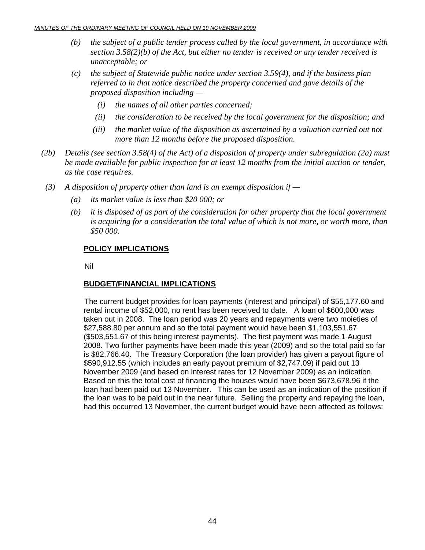- *(b) the subject of a public tender process called by the local government, in accordance with section 3.58(2)(b) of the Act, but either no tender is received or any tender received is unacceptable; or*
- *(c) the subject of Statewide public notice under section 3.59(4), and if the business plan referred to in that notice described the property concerned and gave details of the proposed disposition including —* 
	- *(i) the names of all other parties concerned;*
	- *(ii) the consideration to be received by the local government for the disposition; and*
	- *(iii) the market value of the disposition as ascertained by a valuation carried out not more than 12 months before the proposed disposition.*
- *(2b) Details (see section 3.58(4) of the Act) of a disposition of property under subregulation (2a) must be made available for public inspection for at least 12 months from the initial auction or tender, as the case requires.*
- *(3) A disposition of property other than land is an exempt disposition if* 
	- *(a) its market value is less than \$20 000; or*
	- *(b) it is disposed of as part of the consideration for other property that the local government is acquiring for a consideration the total value of which is not more, or worth more, than \$50 000.*

#### **POLICY IMPLICATIONS**

Nil

#### **BUDGET/FINANCIAL IMPLICATIONS**

The current budget provides for loan payments (interest and principal) of \$55,177.60 and rental income of \$52,000, no rent has been received to date. A loan of \$600,000 was taken out in 2008. The loan period was 20 years and repayments were two moieties of \$27,588.80 per annum and so the total payment would have been \$1,103,551.67 (\$503,551.67 of this being interest payments). The first payment was made 1 August 2008. Two further payments have been made this year (2009) and so the total paid so far is \$82,766.40. The Treasury Corporation (the loan provider) has given a payout figure of \$590,912.55 (which includes an early payout premium of \$2,747.09) if paid out 13 November 2009 (and based on interest rates for 12 November 2009) as an indication. Based on this the total cost of financing the houses would have been \$673,678.96 if the loan had been paid out 13 November. This can be used as an indication of the position if the loan was to be paid out in the near future. Selling the property and repaying the loan, had this occurred 13 November, the current budget would have been affected as follows: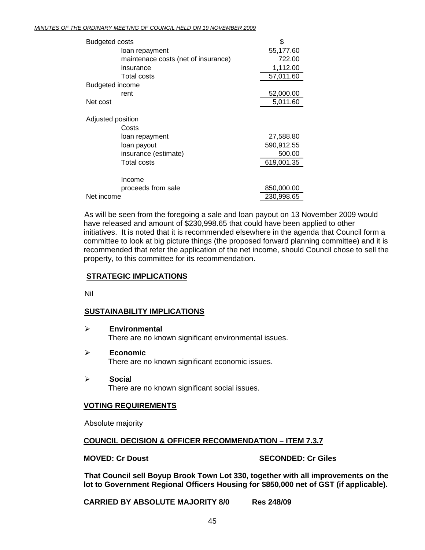| <b>Budgeted costs</b> |                                     | \$         |
|-----------------------|-------------------------------------|------------|
|                       | loan repayment                      | 55,177.60  |
|                       | maintenace costs (net of insurance) | 722.00     |
|                       | insurance                           | 1,112.00   |
|                       | <b>Total costs</b>                  | 57,011.60  |
| Budgeted income       |                                     |            |
|                       | rent                                | 52,000.00  |
| Net cost              |                                     | 5,011.60   |
| Adjusted position     |                                     |            |
|                       | Costs                               |            |
|                       | loan repayment                      | 27,588.80  |
|                       | loan payout                         | 590,912.55 |
|                       | insurance (estimate)                | 500.00     |
|                       | <b>Total costs</b>                  | 619,001.35 |
|                       | Income                              |            |
|                       |                                     |            |
|                       | proceeds from sale                  | 850,000.00 |
| Net income            |                                     | 230,998.65 |

As will be seen from the foregoing a sale and loan payout on 13 November 2009 would have released and amount of \$230,998.65 that could have been applied to other initiatives. It is noted that it is recommended elsewhere in the agenda that Council form a committee to look at big picture things (the proposed forward planning committee) and it is recommended that refer the application of the net income, should Council chose to sell the property, to this committee for its recommendation.

#### **STRATEGIC IMPLICATIONS**

Nil

### **SUSTAINABILITY IMPLICATIONS**

- ¾ **Environmental**  There are no known significant environmental issues.
- ¾ **Economic**  There are no known significant economic issues.
- ¾ **Socia**l There are no known significant social issues.

#### **VOTING REQUIREMENTS**

Absolute majority

### **COUNCIL DECISION & OFFICER RECOMMENDATION – ITEM 7.3.7**

#### **MOVED: Cr Doust SECONDED: Cr Giles**

**That Council sell Boyup Brook Town Lot 330, together with all improvements on the lot to Government Regional Officers Housing for \$850,000 net of GST (if applicable).** 

**CARRIED BY ABSOLUTE MAJORITY 8/0 Res 248/09**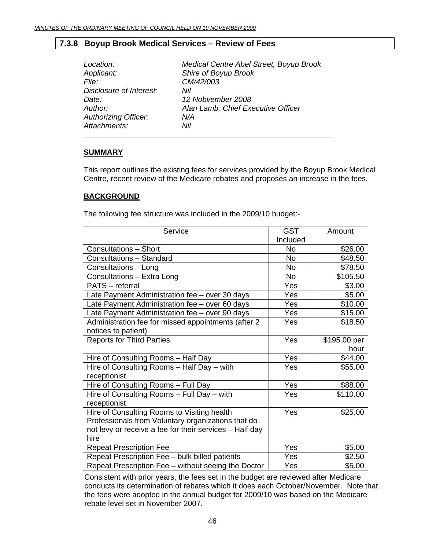### <span id="page-45-0"></span>**7.3.8 Boyup Brook Medical Services – Review of Fees**

| Location:                   | Medical Centre Abel Street, Boyup Brook |
|-----------------------------|-----------------------------------------|
| Applicant:                  | Shire of Boyup Brook                    |
| File:                       | CM/42/003                               |
| Disclosure of Interest:     | Nil                                     |
| Date:                       | 12 Nobvember 2008                       |
| Author:                     | Alan Lamb, Chief Executive Officer      |
| <b>Authorizing Officer:</b> | N/A                                     |
| Attachments:                | Nil                                     |
|                             |                                         |

#### **SUMMARY**

This report outlines the existing fees for services provided by the Boyup Brook Medical Centre, recent review of the Medicare rebates and proposes an increase in the fees.

#### **BACKGROUND**

The following fee structure was included in the 2009/10 budget:-

| Service                                                 | <b>GST</b> | Amount       |
|---------------------------------------------------------|------------|--------------|
|                                                         | Included   |              |
| <b>Consultations - Short</b>                            | No         | \$26.00      |
| Consultations - Standard                                | <b>No</b>  | \$48.50      |
| Consultations - Long                                    | No         | \$78.50      |
| Consultations - Extra Long                              | No         | \$105.50     |
| <b>PATS</b> – referral                                  | Yes        | \$3.00       |
| Late Payment Administration fee - over 30 days          | Yes        | \$5.00       |
| Late Payment Administration fee - over 60 days          | Yes        | \$10.00      |
| Late Payment Administration fee - over 90 days          | Yes        | \$15.00      |
| Administration fee for missed appointments (after 2)    | Yes        | \$18.50      |
| notices to patient)                                     |            |              |
| <b>Reports for Third Parties</b>                        | Yes        | \$195.00 per |
|                                                         |            | hour         |
| Hire of Consulting Rooms - Half Day                     | Yes        | \$44.00      |
| Hire of Consulting Rooms - Half Day - with              | Yes        | \$55.00      |
| receptionist                                            |            |              |
| Hire of Consulting Rooms - Full Day                     | Yes        | \$88.00      |
| Hire of Consulting Rooms - Full Day - with              | <b>Yes</b> | \$110.00     |
| receptionist                                            |            |              |
| Hire of Consulting Rooms to Visiting health             | Yes        | \$25.00      |
| Professionals from Voluntary organizations that do      |            |              |
| not levy or receive a fee for their services - Half day |            |              |
| hire                                                    |            |              |
| <b>Repeat Prescription Fee</b>                          | Yes        | \$5.00       |
| Repeat Prescription Fee - bulk billed patients          | Yes        | \$2.50       |
| Repeat Prescription Fee - without seeing the Doctor     | Yes        | \$5.00       |

Consistent with prior years, the fees set in the budget are reviewed after Medicare conducts its determination of rebates which it does each October/November. Note that the fees were adopted in the annual budget for 2009/10 was based on the Medicare rebate level set in November 2007.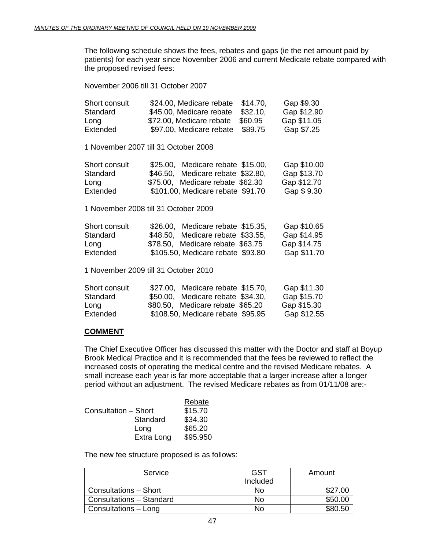The following schedule shows the fees, rebates and gaps (ie the net amount paid by patients) for each year since November 2006 and current Medicate rebate compared with the proposed revised fees:

November 2006 till 31 October 2007

| Short consult | \$24.00, Medicare rebate<br>\$14.70,                                                                                                                                                                                                                                                                                                                                                                                   | Gap \$9.30  |
|---------------|------------------------------------------------------------------------------------------------------------------------------------------------------------------------------------------------------------------------------------------------------------------------------------------------------------------------------------------------------------------------------------------------------------------------|-------------|
| Standard      | \$32.10,<br>\$45.00, Medicare rebate                                                                                                                                                                                                                                                                                                                                                                                   | Gap \$12.90 |
| Long          | \$72.00, Medicare rebate<br>\$60.95                                                                                                                                                                                                                                                                                                                                                                                    | Gap \$11.05 |
| Extended      | \$89.75<br>\$97.00, Medicare rebate                                                                                                                                                                                                                                                                                                                                                                                    | Gap \$7.25  |
|               | 1 November 2007 till 31 October 2008                                                                                                                                                                                                                                                                                                                                                                                   |             |
| Short consult | \$25.00, Medicare rebate \$15.00,                                                                                                                                                                                                                                                                                                                                                                                      | Gap \$10.00 |
| Standard      | \$46.50, Medicare rebate \$32.80,                                                                                                                                                                                                                                                                                                                                                                                      | Gap \$13.70 |
| Long          | \$75.00, Medicare rebate \$62.30                                                                                                                                                                                                                                                                                                                                                                                       | Gap \$12.70 |
| Extended      | \$101.00, Medicare rebate \$91.70                                                                                                                                                                                                                                                                                                                                                                                      | Gap \$9.30  |
|               | 1 November 2008 till 31 October 2009                                                                                                                                                                                                                                                                                                                                                                                   |             |
| Short consult | \$26.00, Medicare rebate \$15.35,                                                                                                                                                                                                                                                                                                                                                                                      | Gap \$10.65 |
| Standard      | \$48.50, Medicare rebate \$33.55,                                                                                                                                                                                                                                                                                                                                                                                      | Gap \$14.95 |
| Long          | \$78.50, Medicare rebate \$63.75                                                                                                                                                                                                                                                                                                                                                                                       | Gap \$14.75 |
| Extended      | \$105.50, Medicare rebate \$93.80                                                                                                                                                                                                                                                                                                                                                                                      | Gap \$11.70 |
|               | 1 November 2009 till 31 October 2010                                                                                                                                                                                                                                                                                                                                                                                   |             |
|               | $\uparrow$ $\uparrow$ $\uparrow$ $\uparrow$ $\uparrow$ $\uparrow$ $\uparrow$ $\uparrow$ $\uparrow$ $\uparrow$ $\uparrow$ $\uparrow$ $\uparrow$ $\uparrow$ $\uparrow$ $\uparrow$ $\uparrow$ $\uparrow$ $\uparrow$ $\uparrow$ $\uparrow$ $\uparrow$ $\uparrow$ $\uparrow$ $\uparrow$ $\uparrow$ $\uparrow$ $\uparrow$ $\uparrow$ $\uparrow$ $\uparrow$ $\uparrow$ $\uparrow$ $\uparrow$ $\uparrow$ $\uparrow$ $\uparrow$ |             |

| Short consult | \$27.00, Medicare rebate \$15.70, | Gap \$11.30 |
|---------------|-----------------------------------|-------------|
| Standard      | \$50.00, Medicare rebate \$34.30, | Gap \$15.70 |
| Long          | \$80.50, Medicare rebate \$65.20  | Gap \$15.30 |
| Extended      | \$108.50, Medicare rebate \$95.95 | Gap \$12.55 |

#### **COMMENT**

The Chief Executive Officer has discussed this matter with the Doctor and staff at Boyup Brook Medical Practice and it is recommended that the fees be reviewed to reflect the increased costs of operating the medical centre and the revised Medicare rebates. A small increase each year is far more acceptable that a larger increase after a longer period without an adjustment. The revised Medicare rebates as from 01/11/08 are:-

|                      | Rebate   |
|----------------------|----------|
| Consultation - Short | \$15.70  |
| Standard             | \$34.30  |
| Long                 | \$65.20  |
| Extra Long           | \$95.950 |

The new fee structure proposed is as follows:

| Service                  | GST      | Amount  |
|--------------------------|----------|---------|
|                          | Included |         |
| Consultations - Short    | N٥       | \$27.00 |
| Consultations - Standard | No       | \$50.00 |
| Consultations - Long     | N٥       |         |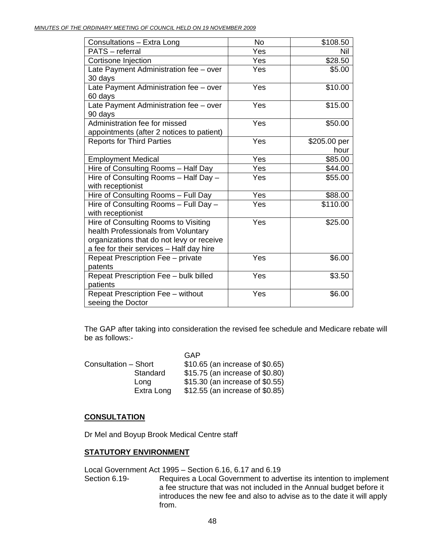| Consultations - Extra Long                | <b>No</b> | \$108.50     |
|-------------------------------------------|-----------|--------------|
| PATS - referral                           | Yes       | Nil          |
| Cortisone Injection                       | Yes       | \$28.50      |
| Late Payment Administration fee - over    | Yes       | \$5.00       |
| 30 days                                   |           |              |
| Late Payment Administration fee - over    | Yes       | \$10.00      |
| 60 days                                   |           |              |
| Late Payment Administration fee - over    | Yes       | \$15.00      |
| 90 days                                   |           |              |
| Administration fee for missed             | Yes       | \$50.00      |
| appointments (after 2 notices to patient) |           |              |
| <b>Reports for Third Parties</b>          | Yes       | \$205.00 per |
|                                           |           | hour         |
| <b>Employment Medical</b>                 | Yes       | \$85.00      |
| Hire of Consulting Rooms - Half Day       | Yes       | \$44.00      |
| Hire of Consulting Rooms - Half Day -     | Yes       | \$55.00      |
| with receptionist                         |           |              |
| Hire of Consulting Rooms - Full Day       | Yes       | \$88.00      |
| Hire of Consulting Rooms - Full Day -     | Yes       | \$110.00     |
| with receptionist                         |           |              |
| Hire of Consulting Rooms to Visiting      | Yes       | \$25.00      |
| health Professionals from Voluntary       |           |              |
| organizations that do not levy or receive |           |              |
| a fee for their services - Half day hire  |           |              |
| Repeat Prescription Fee - private         | Yes       | \$6.00       |
| patents                                   |           |              |
| Repeat Prescription Fee - bulk billed     | Yes       | \$3.50       |
| patients                                  |           |              |
| Repeat Prescription Fee - without         | Yes       | \$6.00       |
| seeing the Doctor                         |           |              |

The GAP after taking into consideration the revised fee schedule and Medicare rebate will be as follows:-

|                      | GAP                             |
|----------------------|---------------------------------|
| Consultation - Short | \$10.65 (an increase of \$0.65) |
| Standard             | \$15.75 (an increase of \$0.80) |
| Lona                 | \$15.30 (an increase of \$0.55) |
| Extra Long           | \$12.55 (an increase of \$0.85) |

#### **CONSULTATION**

Dr Mel and Boyup Brook Medical Centre staff

#### **STATUTORY ENVIRONMENT**

Local Government Act 1995 – Section 6.16, 6.17 and 6.19

Section 6.19- Requires a Local Government to advertise its intention to implement a fee structure that was not included in the Annual budget before it introduces the new fee and also to advise as to the date it will apply from.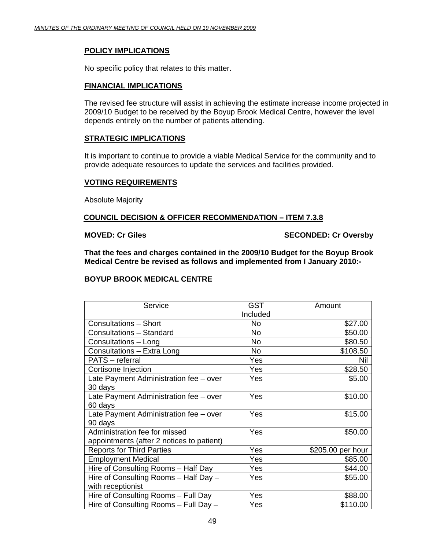#### **POLICY IMPLICATIONS**

No specific policy that relates to this matter.

#### **FINANCIAL IMPLICATIONS**

The revised fee structure will assist in achieving the estimate increase income projected in 2009/10 Budget to be received by the Boyup Brook Medical Centre, however the level depends entirely on the number of patients attending.

#### **STRATEGIC IMPLICATIONS**

It is important to continue to provide a viable Medical Service for the community and to provide adequate resources to update the services and facilities provided.

#### **VOTING REQUIREMENTS**

Absolute Majority

#### **COUNCIL DECISION & OFFICER RECOMMENDATION – ITEM 7.3.8**

**MOVED: Cr Giles SECONDED: Cr Oversby** 

**That the fees and charges contained in the 2009/10 Budget for the Boyup Brook Medical Centre be revised as follows and implemented from I January 2010:-** 

#### **BOYUP BROOK MEDICAL CENTRE**

| Service                                   | <b>GST</b> | Amount            |
|-------------------------------------------|------------|-------------------|
|                                           | Included   |                   |
| <b>Consultations - Short</b>              | No.        | \$27.00           |
| Consultations - Standard                  | No         | \$50.00           |
| Consultations - Long                      | No         | \$80.50           |
| Consultations - Extra Long                | No.        | \$108.50          |
| PATS - referral                           | Yes        | Nil               |
| Cortisone Injection                       | Yes        | \$28.50           |
| Late Payment Administration fee - over    | Yes        | \$5.00            |
| 30 days                                   |            |                   |
| Late Payment Administration fee - over    | Yes        | \$10.00           |
| 60 days                                   |            |                   |
| Late Payment Administration fee - over    | Yes        | \$15.00           |
| 90 days                                   |            |                   |
| Administration fee for missed             | Yes        | \$50.00           |
| appointments (after 2 notices to patient) |            |                   |
| <b>Reports for Third Parties</b>          | Yes        | \$205.00 per hour |
| <b>Employment Medical</b>                 | Yes        | \$85.00           |
| Hire of Consulting Rooms - Half Day       | Yes        | \$44.00           |
| Hire of Consulting Rooms - Half Day -     | Yes        | \$55.00           |
| with receptionist                         |            |                   |
| Hire of Consulting Rooms - Full Day       | Yes        | \$88.00           |
| Hire of Consulting Rooms - Full Day -     | Yes        | \$110.00          |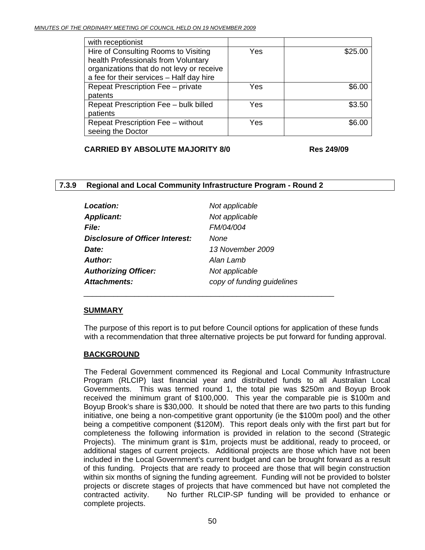<span id="page-49-0"></span>

| with receptionist                         |     |         |
|-------------------------------------------|-----|---------|
| Hire of Consulting Rooms to Visiting      | Yes | \$25.00 |
| health Professionals from Voluntary       |     |         |
| organizations that do not levy or receive |     |         |
| a fee for their services - Half day hire  |     |         |
| Repeat Prescription Fee - private         | Yes | \$6.00  |
| patents                                   |     |         |
| Repeat Prescription Fee - bulk billed     | Yes | \$3.50  |
| patients                                  |     |         |
| Repeat Prescription Fee - without         | Yes | \$6.00  |
| seeing the Doctor                         |     |         |

**CARRIED BY ABSOLUTE MAJORITY 8/0 Res 249/09** 

#### **7.3.9 Regional and Local Community Infrastructure Program - Round 2**

| Location:                              | Not applicable             |
|----------------------------------------|----------------------------|
| <b>Applicant:</b>                      | Not applicable             |
| <i>File:</i>                           | <b>FM/04/004</b>           |
| <b>Disclosure of Officer Interest:</b> | None                       |
| Date:                                  | 13 November 2009           |
| Author:                                | Alan Lamb                  |
| <b>Authorizing Officer:</b>            | Not applicable             |
| <b>Attachments:</b>                    | copy of funding guidelines |

\_\_\_\_\_\_\_\_\_\_\_\_\_\_\_\_\_\_\_\_\_\_\_\_\_\_\_\_\_\_\_\_\_\_\_\_\_\_\_\_\_\_\_\_\_\_\_\_\_\_\_\_\_\_\_\_\_\_\_

#### **SUMMARY**

The purpose of this report is to put before Council options for application of these funds with a recommendation that three alternative projects be put forward for funding approval.

#### **BACKGROUND**

 The Federal Government commenced its Regional and Local Community Infrastructure Program (RLCIP) last financial year and distributed funds to all Australian Local Governments. This was termed round 1, the total pie was \$250m and Boyup Brook received the minimum grant of \$100,000. This year the comparable pie is \$100m and Boyup Brook's share is \$30,000. It should be noted that there are two parts to this funding initiative, one being a non-competitive grant opportunity (ie the \$100m pool) and the other being a competitive component (\$120M). This report deals only with the first part but for completeness the following information is provided in relation to the second (Strategic Projects). The minimum grant is \$1m, projects must be additional, ready to proceed, or additional stages of current projects. Additional projects are those which have not been included in the Local Government's current budget and can be brought forward as a result of this funding. Projects that are ready to proceed are those that will begin construction within six months of signing the funding agreement. Funding will not be provided to bolster projects or discrete stages of projects that have commenced but have not completed the contracted activity. No further RLCIP-SP funding will be provided to enhance or complete projects.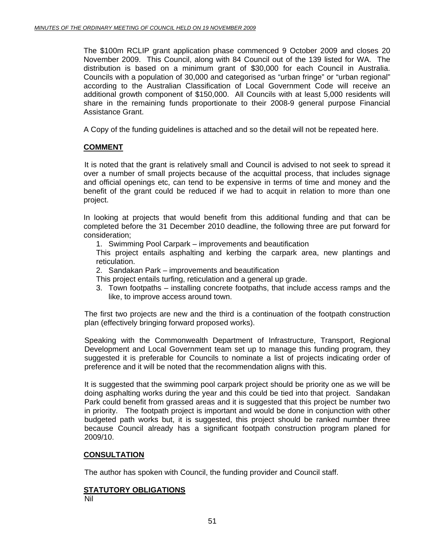The \$100m RCLIP grant application phase commenced 9 October 2009 and closes 20 November 2009. This Council, along with 84 Council out of the 139 listed for WA. The distribution is based on a minimum grant of \$30,000 for each Council in Australia. Councils with a population of 30,000 and categorised as "urban fringe" or "urban regional" according to the Australian Classification of Local Government Code will receive an additional growth component of \$150,000. All Councils with at least 5,000 residents will share in the remaining funds proportionate to their 2008-9 general purpose Financial Assistance Grant.

A Copy of the funding guidelines is attached and so the detail will not be repeated here.

#### **COMMENT**

 It is noted that the grant is relatively small and Council is advised to not seek to spread it over a number of small projects because of the acquittal process, that includes signage and official openings etc, can tend to be expensive in terms of time and money and the benefit of the grant could be reduced if we had to acquit in relation to more than one project.

In looking at projects that would benefit from this additional funding and that can be completed before the 31 December 2010 deadline, the following three are put forward for consideration;

1. Swimming Pool Carpark – improvements and beautification

This project entails asphalting and kerbing the carpark area, new plantings and reticulation.

2. Sandakan Park – improvements and beautification

This project entails turfing, reticulation and a general up grade.

3. Town footpaths – installing concrete footpaths, that include access ramps and the like, to improve access around town.

The first two projects are new and the third is a continuation of the footpath construction plan (effectively bringing forward proposed works).

Speaking with the Commonwealth Department of Infrastructure, Transport, Regional Development and Local Government team set up to manage this funding program, they suggested it is preferable for Councils to nominate a list of projects indicating order of preference and it will be noted that the recommendation aligns with this.

It is suggested that the swimming pool carpark project should be priority one as we will be doing asphalting works during the year and this could be tied into that project. Sandakan Park could benefit from grassed areas and it is suggested that this project be number two in priority. The footpath project is important and would be done in conjunction with other budgeted path works but, it is suggested, this project should be ranked number three because Council already has a significant footpath construction program planed for 2009/10.

#### **CONSULTATION**

The author has spoken with Council, the funding provider and Council staff.

#### **STATUTORY OBLIGATIONS**

Nil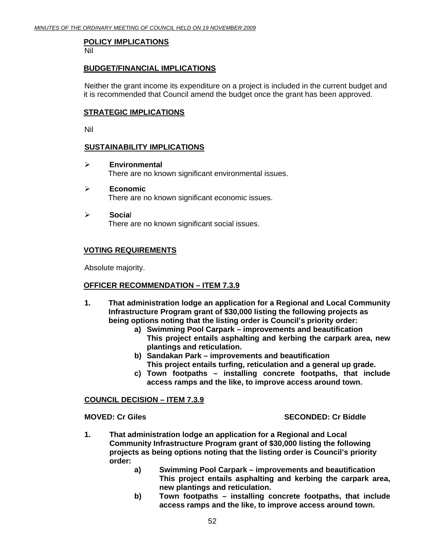#### **POLICY IMPLICATIONS**

Nil

#### **BUDGET/FINANCIAL IMPLICATIONS**

Neither the grant income its expenditure on a project is included in the current budget and it is recommended that Council amend the budget once the grant has been approved.

#### **STRATEGIC IMPLICATIONS**

Nil

#### **SUSTAINABILITY IMPLICATIONS**

- ¾ **Environmental**  There are no known significant environmental issues.
- ¾ **Economic**  There are no known significant economic issues.
- ¾ **Socia**l There are no known significant social issues.

#### **VOTING REQUIREMENTS**

Absolute majority.

#### **OFFICER RECOMMENDATION – ITEM 7.3.9**

- **1. That administration lodge an application for a Regional and Local Community Infrastructure Program grant of \$30,000 listing the following projects as being options noting that the listing order is Council's priority order:** 
	- **a) Swimming Pool Carpark improvements and beautification This project entails asphalting and kerbing the carpark area, new plantings and reticulation.**
	- **b) Sandakan Park improvements and beautification This project entails turfing, reticulation and a general up grade.**
	- **c) Town footpaths installing concrete footpaths, that include access ramps and the like, to improve access around town.**

#### **COUNCIL DECISION – ITEM 7.3.9**

#### **MOVED: Cr Giles SECONDED: Cr Biddle**

- **1. That administration lodge an application for a Regional and Local Community Infrastructure Program grant of \$30,000 listing the following projects as being options noting that the listing order is Council's priority order:** 
	- **a) Swimming Pool Carpark improvements and beautification This project entails asphalting and kerbing the carpark area, new plantings and reticulation.**
	- **b) Town footpaths installing concrete footpaths, that include access ramps and the like, to improve access around town.**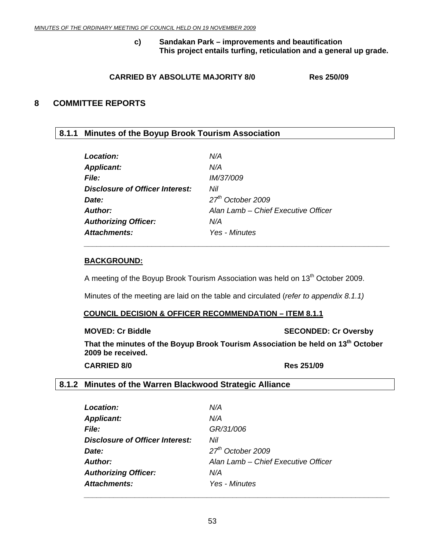**c) Sandakan Park – improvements and beautification This project entails turfing, reticulation and a general up grade.** 

#### **CARRIED BY ABSOLUTE MAJORITY 8/0 Res 250/09**

#### <span id="page-52-0"></span>**8 COMMITTEE REPORTS**

### **8.1.1 Minutes of the Boyup Brook Tourism Association**

| Location:                       | N/A                                 |
|---------------------------------|-------------------------------------|
| <b>Applicant:</b>               | N/A                                 |
| <b>File:</b>                    | <i>IM/37/009</i>                    |
| Disclosure of Officer Interest: | Nil                                 |
| Date:                           | 27 <sup>th</sup> October 2009       |
| Author:                         | Alan Lamb – Chief Executive Officer |
| <b>Authorizing Officer:</b>     | N/A                                 |
| Attachments:                    | Yes - Minutes                       |

 *\_\_\_\_\_\_\_\_\_\_\_\_\_\_\_\_\_\_\_\_\_\_\_\_\_\_\_\_\_\_\_\_\_\_\_\_\_\_\_\_\_\_\_\_\_\_\_\_\_\_\_\_\_\_\_\_\_\_\_\_\_\_\_\_\_\_\_\_\_\_\_\_* 

#### **BACKGROUND:**

A meeting of the Boyup Brook Tourism Association was held on 13<sup>th</sup> October 2009.

Minutes of the meeting are laid on the table and circulated (*refer to appendix 8.1.1)*

#### **COUNCIL DECISION & OFFICER RECOMMENDATION – ITEM 8.1.1**

**MOVED: Cr Biddle SECONDED: Cr Oversby** 

That the minutes of the Boyup Brook Tourism Association be held on 13<sup>th</sup> October **2009 be received.** 

**CARRIED 8/0 Res 251/09** 

#### **8.1.2 Minutes of the Warren Blackwood Strategic Alliance**

| <b>Location:</b>                       | N/A                                 |
|----------------------------------------|-------------------------------------|
| <b>Applicant:</b>                      | N/A                                 |
| <b>File:</b>                           | GR/31/006                           |
| <b>Disclosure of Officer Interest:</b> | Nil                                 |
| Date:                                  | $27th$ October 2009                 |
| <b>Author:</b>                         | Alan Lamb - Chief Executive Officer |
| <b>Authorizing Officer:</b>            | N/A                                 |
| Attachments:                           | Yes - Minutes                       |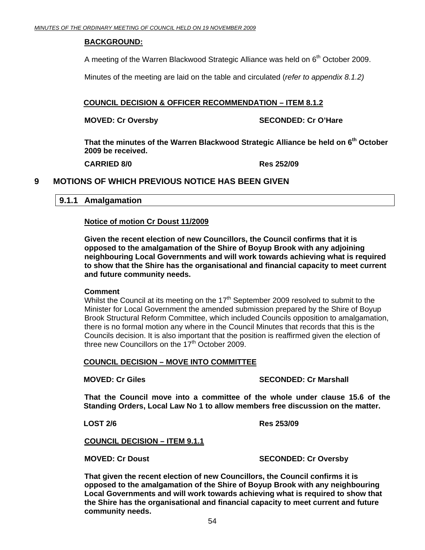#### <span id="page-53-0"></span>**BACKGROUND:**

A meeting of the Warren Blackwood Strategic Alliance was held on  $6<sup>th</sup>$  October 2009.

Minutes of the meeting are laid on the table and circulated (*refer to appendix 8.1.2)*

#### **COUNCIL DECISION & OFFICER RECOMMENDATION – ITEM 8.1.2**

**MOVED: Cr Oversby SECONDED: Cr O'Hare** 

That the minutes of the Warren Blackwood Strategic Alliance be held on 6<sup>th</sup> October **2009 be received.** 

**CARRIED 8/0 Res 252/09** 

### **9 MOTIONS OF WHICH PREVIOUS NOTICE HAS BEEN GIVEN**

#### **9.1.1 Amalgamation**

#### **Notice of motion Cr Doust 11/2009**

**Given the recent election of new Councillors, the Council confirms that it is opposed to the amalgamation of the Shire of Boyup Brook with any adjoining neighbouring Local Governments and will work towards achieving what is required to show that the Shire has the organisational and financial capacity to meet current and future community needs.** 

#### **Comment**

Whilst the Council at its meeting on the 17<sup>th</sup> September 2009 resolved to submit to the Minister for Local Government the amended submission prepared by the Shire of Boyup Brook Structural Reform Committee, which included Councils opposition to amalgamation, there is no formal motion any where in the Council Minutes that records that this is the Councils decision. It is also important that the position is reaffirmed given the election of three new Councillors on the 17<sup>th</sup> October 2009.

#### **COUNCIL DECISION – MOVE INTO COMMITTEE**

#### **MOVED: Cr Giles SECONDED: Cr Marshall**

 **That the Council move into a committee of the whole under clause 15.6 of the Standing Orders, Local Law No 1 to allow members free discussion on the matter.** 

 **LOST 2/6 Res 253/09** 

**COUNCIL DECISION – ITEM 9.1.1**

#### **MOVED: Cr Doust SECONDED: Cr Oversby**

**That given the recent election of new Councillors, the Council confirms it is opposed to the amalgamation of the Shire of Boyup Brook with any neighbouring Local Governments and will work towards achieving what is required to show that the Shire has the organisational and financial capacity to meet current and future community needs.**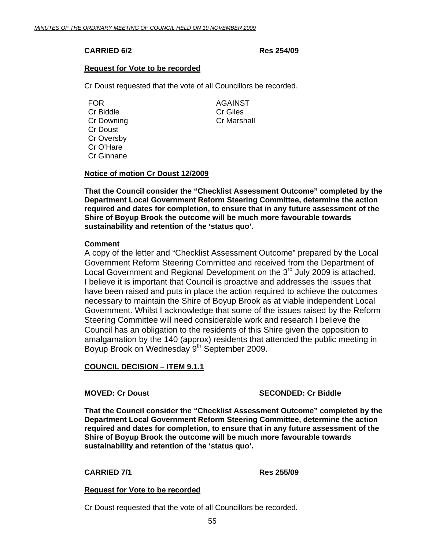#### **CARRIED 6/2 Res 254/09**

#### **Request for Vote to be recorded**

Cr Doust requested that the vote of all Councillors be recorded.

FOR AGAINST Cr Biddle Cr Giles Cr Downing Cr Marshall Cr Doust Cr Oversby Cr O'Hare Cr Ginnane

#### **Notice of motion Cr Doust 12/2009**

**That the Council consider the "Checklist Assessment Outcome" completed by the Department Local Government Reform Steering Committee, determine the action required and dates for completion, to ensure that in any future assessment of the Shire of Boyup Brook the outcome will be much more favourable towards sustainability and retention of the 'status quo'.** 

#### **Comment**

A copy of the letter and "Checklist Assessment Outcome" prepared by the Local Government Reform Steering Committee and received from the Department of Local Government and Regional Development on the 3<sup>rd</sup> July 2009 is attached. I believe it is important that Council is proactive and addresses the issues that have been raised and puts in place the action required to achieve the outcomes necessary to maintain the Shire of Boyup Brook as at viable independent Local Government. Whilst I acknowledge that some of the issues raised by the Reform Steering Committee will need considerable work and research I believe the Council has an obligation to the residents of this Shire given the opposition to amalgamation by the 140 (approx) residents that attended the public meeting in Boyup Brook on Wednesday 9<sup>th</sup> September 2009.

#### **COUNCIL DECISION – ITEM 9.1.1**

#### **MOVED: Cr Doust Critics** SECONDED: Cr Biddle

**That the Council consider the "Checklist Assessment Outcome" completed by the Department Local Government Reform Steering Committee, determine the action required and dates for completion, to ensure that in any future assessment of the Shire of Boyup Brook the outcome will be much more favourable towards sustainability and retention of the 'status quo'.** 

#### **CARRIED 7/1 Res 255/09**

#### **Request for Vote to be recorded**

Cr Doust requested that the vote of all Councillors be recorded.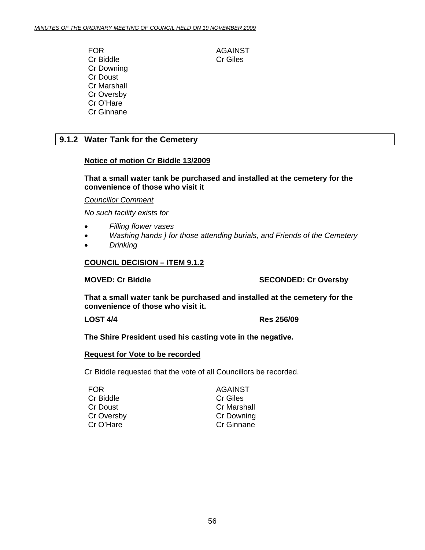<span id="page-55-0"></span>FOR AGAINST Cr Biddle Cr Giles Cr Downing Cr Doust Cr Marshall Cr Oversby Cr O'Hare Cr Ginnane

### **9.1.2 Water Tank for the Cemetery**

#### **Notice of motion Cr Biddle 13/2009**

**That a small water tank be purchased and installed at the cemetery for the convenience of those who visit it** 

*Councillor Comment*

*No such facility exists for* 

- *Filling flower vases*
- *Washing hands } for those attending burials, and Friends of the Cemetery*
- *Drinking*

#### **COUNCIL DECISION – ITEM 9.1.2**

**MOVED: Cr Biddle SECONDED: Cr Oversby** 

**That a small water tank be purchased and installed at the cemetery for the convenience of those who visit it.** 

**LOST 4/4 Res 256/09** 

**The Shire President used his casting vote in the negative.** 

#### **Request for Vote to be recorded**

Cr Biddle requested that the vote of all Councillors be recorded.

| FOR.       | <b>AGAINST</b>     |
|------------|--------------------|
| Cr Biddle  | Cr Giles           |
| Cr Doust   | <b>Cr Marshall</b> |
| Cr Oversby | <b>Cr Downing</b>  |
| Cr O'Hare  | Cr Ginnane         |
|            |                    |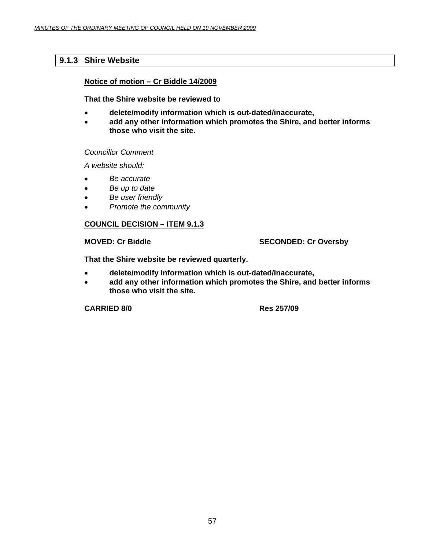### <span id="page-56-0"></span>**9.1.3 Shire Website**

#### **Notice of motion – Cr Biddle 14/2009**

**That the Shire website be reviewed to** 

- **delete/modify information which is out-dated/inaccurate,**
- **add any other information which promotes the Shire, and better informs those who visit the site.**

*Councillor Comment* 

*A website should:* 

- *Be accurate*
- *Be up to date*
- *Be user friendly*
- *Promote the community*

#### **COUNCIL DECISION – ITEM 9.1.3**

#### **MOVED: Cr Biddle SECONDED: Cr Oversby**

**That the Shire website be reviewed quarterly.** 

- **delete/modify information which is out-dated/inaccurate,**
- **add any other information which promotes the Shire, and better informs those who visit the site.**

**CARRIED 8/0 Res 257/09**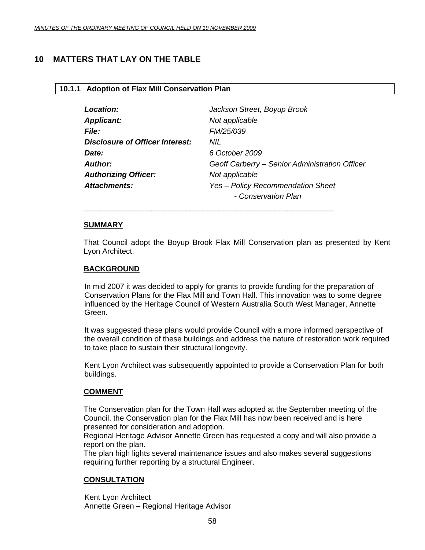### <span id="page-57-0"></span>**10 MATTERS THAT LAY ON THE TABLE**

#### **10.1.1 Adoption of Flax Mill Conservation Plan**

| Location:                              | Jackson Street, Boyup Brook                    |
|----------------------------------------|------------------------------------------------|
| <b>Applicant:</b>                      | Not applicable                                 |
| <b>File:</b>                           | FM/25/039                                      |
| <b>Disclosure of Officer Interest:</b> | NIL                                            |
| Date:                                  | 6 October 2009                                 |
| Author:                                | Geoff Carberry – Senior Administration Officer |
| <b>Authorizing Officer:</b>            | Not applicable                                 |
| <b>Attachments:</b>                    | Yes - Policy Recommendation Sheet              |
|                                        | - Conservation Plan                            |

\_\_\_\_\_\_\_\_\_\_\_\_\_\_\_\_\_\_\_\_\_\_\_\_\_\_\_\_\_\_\_\_\_\_\_\_\_\_\_\_\_\_\_\_\_\_\_\_\_\_\_\_\_\_\_\_\_\_\_

#### **SUMMARY**

That Council adopt the Boyup Brook Flax Mill Conservation plan as presented by Kent Lyon Architect.

#### **BACKGROUND**

In mid 2007 it was decided to apply for grants to provide funding for the preparation of Conservation Plans for the Flax Mill and Town Hall. This innovation was to some degree influenced by the Heritage Council of Western Australia South West Manager, Annette Green.

It was suggested these plans would provide Council with a more informed perspective of the overall condition of these buildings and address the nature of restoration work required to take place to sustain their structural longevity.

 Kent Lyon Architect was subsequently appointed to provide a Conservation Plan for both buildings.

#### **COMMENT**

The Conservation plan for the Town Hall was adopted at the September meeting of the Council, the Conservation plan for the Flax Mill has now been received and is here presented for consideration and adoption.

Regional Heritage Advisor Annette Green has requested a copy and will also provide a report on the plan.

The plan high lights several maintenance issues and also makes several suggestions requiring further reporting by a structural Engineer.

#### **CONSULTATION**

Kent Lyon Architect Annette Green – Regional Heritage Advisor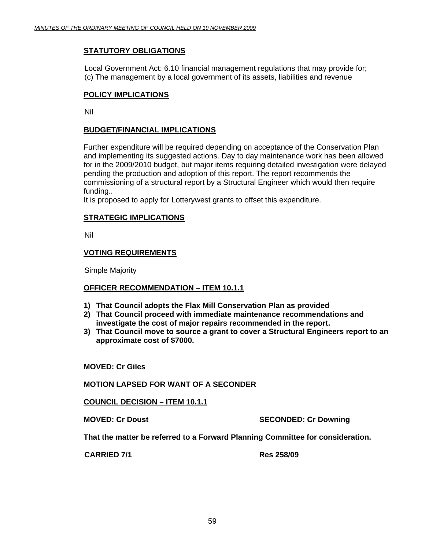#### **STATUTORY OBLIGATIONS**

Local Government Act: 6.10 financial management regulations that may provide for; (c) The management by a local government of its assets, liabilities and revenue

#### **POLICY IMPLICATIONS**

Nil

#### **BUDGET/FINANCIAL IMPLICATIONS**

Further expenditure will be required depending on acceptance of the Conservation Plan and implementing its suggested actions. Day to day maintenance work has been allowed for in the 2009/2010 budget, but major items requiring detailed investigation were delayed pending the production and adoption of this report. The report recommends the commissioning of a structural report by a Structural Engineer which would then require funding..

It is proposed to apply for Lotterywest grants to offset this expenditure.

#### **STRATEGIC IMPLICATIONS**

Nil

#### **VOTING REQUIREMENTS**

Simple Majority

#### **OFFICER RECOMMENDATION – ITEM 10.1.1**

- **1) That Council adopts the Flax Mill Conservation Plan as provided**
- **2) That Council proceed with immediate maintenance recommendations and investigate the cost of major repairs recommended in the report.**
- **3) That Council move to source a grant to cover a Structural Engineers report to an approximate cost of \$7000.**

**MOVED: Cr Giles** 

#### **MOTION LAPSED FOR WANT OF A SECONDER**

**COUNCIL DECISION – ITEM 10.1.1**

**MOVED: Cr Doust SECONDED: Cr Downing** 

**That the matter be referred to a Forward Planning Committee for consideration.** 

**CARRIED 7/1 Res 258/09**